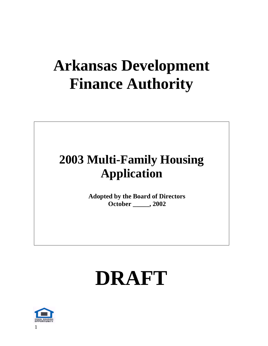# **Arkansas Development Finance Authority**

## **2003 Multi-Family Housing Application**

**Adopted by the Board of Directors October \_\_\_\_\_, 2002**

# **DRAFT**

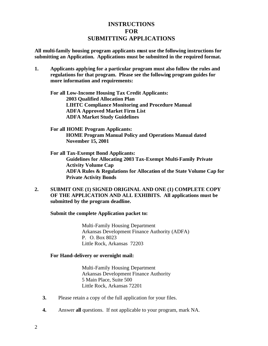## **INSTRUCTIONS FOR SUBMITTING APPLICATIONS**

**All multi-family housing program applicants must use the following instructions for submitting an Application. Applications must be submitted in the required format.**

**1. Applicants applying for a particular program must also follow the rules and regulations for that program. Please see the following program guides for more information and requirements:**

**For all Low-Income Housing Tax Credit Applicants: 2003 Qualified Allocation Plan LIHTC Compliance Monitoring and Procedure Manual ADFA Approved Market Firm List ADFA Market Study Guidelines**

- **For all HOME Program Applicants: HOME Program Manual Policy and Operations Manual dated November 15, 2001**
- **For all Tax-Exempt Bond Applicants: Guidelines for Allocating 2003 Tax-Exempt Multi-Family Private Activity Volume Cap ADFA Rules & Regulations for Allocation of the State Volume Cap for Private Activity Bonds**
- **2. SUBMIT ONE (1) SIGNED ORIGINAL AND ONE (1) COMPLETE COPY OF THE APPLICATION AND ALL EXHIBITS. All applications must be submitted by the program deadline.**

**Submit the complete Application packet to:**

Multi-Family Housing Department Arkansas Development Finance Authority (ADFA) P. O. Box 8023 Little Rock, Arkansas 72203

#### **For Hand-delivery or overnight mail:**

Multi-Family Housing Department Arkansas Development Finance Authority 5 Main Place, Suite 500 Little Rock, Arkansas 72201

- **3.** Please retain a copy of the full application for your files.
- **4.** Answer **all** questions. If not applicable to your program, mark NA.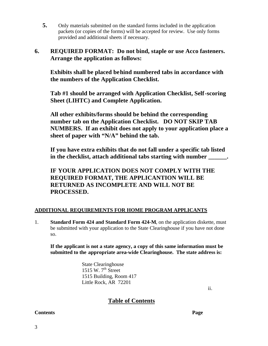- **5.** Only materials submitted on the standard forms included in the application packets (or copies of the forms) will be accepted for review. Use only forms provided and additional sheets if necessary.
- **6. REQUIRED FORMAT: Do not bind, staple or use Acco fasteners. Arrange the application as follows:**

**Exhibits shall be placed behind numbered tabs in accordance with the numbers of the Application Checklist.** 

**Tab #1 should be arranged with Application Checklist, Self-scoring Sheet (LIHTC) and Complete Application.** 

**All other exhibits/forms should be behind the corresponding number tab on the Application Checklist. DO NOT SKIP TAB NUMBERS. If an exhibit does not apply to your application place a sheet of paper with "N/A" behind the tab.** 

**If you have extra exhibits that do not fall under a specific tab listed**  in the checklist, attach additional tabs starting with number  $\qquad \qquad$ .

**IF YOUR APPLICATION DOES NOT COMPLY WITH THE REQUIRED FORMAT, THE APPLICANTION WILL BE RETURNED AS INCOMPLETE AND WILL NOT BE PROCESSED.**

#### **ADDITIONAL REQUIREMENTS FOR HOME PROGRAM APPLICANTS**

1. **Standard Form 424 and Standard Form 424-M**, on the application diskette, must be submitted with your application to the State Clearinghouse if you have not done so.

**If the applicant is not a state agency, a copy of this same information must be submitted to the appropriate area-wide Clearinghouse. The state address is:**

> State Clearinghouse 1515 W.  $7^{\text{th}}$  Street 1515 Building, Room 417 Little Rock, AR 72201

> > ii.

**Table of Contents**

#### **Contents Page**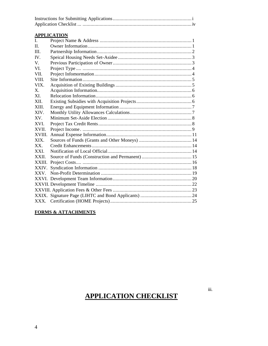#### **APPLICATION**

| $\mathbf{I}$ . |  |
|----------------|--|
| $\Pi$ .        |  |
| III.           |  |
| IV.            |  |
| V.             |  |
| VI.            |  |
| VII.           |  |
| <b>VIII</b>    |  |
| VIX.           |  |
| X.             |  |
| XI.            |  |
| <b>XII</b>     |  |
| XIII.          |  |
| XIV.           |  |
| XV.            |  |
| XVI.           |  |
| XVII.          |  |
| XVIII.         |  |
| XIX.           |  |
| $XX_{-}$       |  |
| XXI.           |  |
| XXII.          |  |
|                |  |
| XXIV.          |  |
|                |  |
|                |  |
|                |  |
|                |  |
|                |  |
|                |  |
|                |  |

#### **FORMS & ATTACHMENTS**

## **APPLICATION CHECKLIST**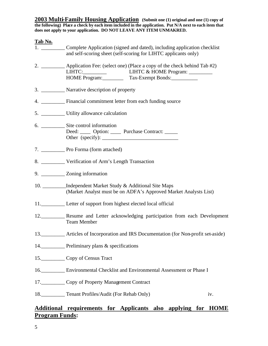**2003 Multi-Family Housing Application (Submit one (1) original and one (1) copy of the following) Place a check by each item included in the application. Put N/A next to each item that does not apply to your application. DO NOT LEAVE ANY ITEM UNMAKRED.**

| Tab No. |                                                                                                                                | 1. ______________ Complete Application (signed and dated), including application checklist<br>and self-scoring sheet (self-scoring for LIHTC applicants only)      |     |
|---------|--------------------------------------------------------------------------------------------------------------------------------|--------------------------------------------------------------------------------------------------------------------------------------------------------------------|-----|
|         |                                                                                                                                | 2. ____________ Application Fee: (select one) (Place a copy of the check behind Tab #2)<br>LIHTC: LIHTC & HOME Program: _______<br>HOME Program: Tax-Exempt Bonds: |     |
|         | 3. ____________ Narrative description of property                                                                              |                                                                                                                                                                    |     |
|         | 4. __________ Financial commitment letter from each funding source                                                             |                                                                                                                                                                    |     |
|         |                                                                                                                                |                                                                                                                                                                    |     |
|         | 6. Site control information<br>Deed: _____ Option: _____ Purchase Contract: _____<br>Other (specify): $\frac{1}{2}$ (specify): |                                                                                                                                                                    |     |
|         |                                                                                                                                |                                                                                                                                                                    |     |
|         | 8. Verification of Arm's Length Transaction                                                                                    |                                                                                                                                                                    |     |
|         | 9. ____________ Zoning information                                                                                             |                                                                                                                                                                    |     |
|         | 10. Independent Market Study & Additional Site Maps                                                                            | (Market Analyst must be on ADFA's Approved Market Analysts List)                                                                                                   |     |
|         | 11. Letter of support from highest elected local official                                                                      |                                                                                                                                                                    |     |
|         | <b>Team Member</b>                                                                                                             | 12. Resume and Letter acknowledging participation from each Development                                                                                            |     |
|         |                                                                                                                                | 13. ___________ Articles of Incorporation and IRS Documentation (for Non-profit set-aside)                                                                         |     |
|         | 14. Preliminary plans & specifications                                                                                         |                                                                                                                                                                    |     |
|         | 15. Copy of Census Tract                                                                                                       |                                                                                                                                                                    |     |
|         |                                                                                                                                | 16. Environmental Checklist and Environmental Assessment or Phase I                                                                                                |     |
|         | 17. Copy of Property Management Contract                                                                                       |                                                                                                                                                                    |     |
|         | 18. Tenant Profiles/Audit (For Rehab Only)                                                                                     |                                                                                                                                                                    | iv. |

## **Additional requirements for Applicants also applying for HOME Program Funds:**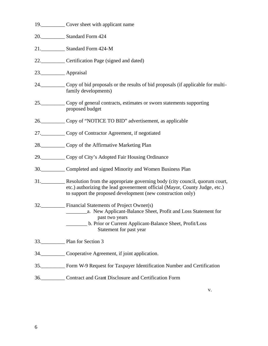|               | 19. Cover sheet with applicant name                                                                                                                                                                                           |
|---------------|-------------------------------------------------------------------------------------------------------------------------------------------------------------------------------------------------------------------------------|
|               | 20. Standard Form 424                                                                                                                                                                                                         |
|               | 21. Standard Form 424-M                                                                                                                                                                                                       |
|               | 22. Certification Page (signed and dated)                                                                                                                                                                                     |
| 23. Appraisal |                                                                                                                                                                                                                               |
|               | 24. Copy of bid proposals or the results of bid proposals (if applicable for multi-<br>family developments)                                                                                                                   |
|               | 25. Copy of general contracts, estimates or sworn statements supporting<br>proposed budget                                                                                                                                    |
|               | 26. Copy of "NOTICE TO BID" advertisement, as applicable                                                                                                                                                                      |
|               | 27. Copy of Contractor Agreement, if negotiated                                                                                                                                                                               |
|               | 28. Copy of the Affirmative Marketing Plan                                                                                                                                                                                    |
|               | 29. Copy of City's Adopted Fair Housing Ordinance                                                                                                                                                                             |
|               | 30. Completed and signed Minority and Women Business Plan                                                                                                                                                                     |
|               | 31. Resolution from the appropriate governing body (city council, quorum court,<br>etc.) authorizing the lead govenerment official (Mayor, County Judge, etc.)<br>to support the proposed development (new construction only) |
|               | 32. Financial Statements of Project Owner(s)<br>past two years<br>b. Prior or Current Applicant-Balance Sheet, Profit/Loss<br>Statement for past year                                                                         |
|               | 33. Plan for Section 3                                                                                                                                                                                                        |
|               | 34. Cooperative Agreement, if joint application.                                                                                                                                                                              |
|               | 35. Form W-9 Request for Taxpayer Identification Number and Certification                                                                                                                                                     |
|               | 36. Contract and Grant Disclosure and Certification Form                                                                                                                                                                      |

v.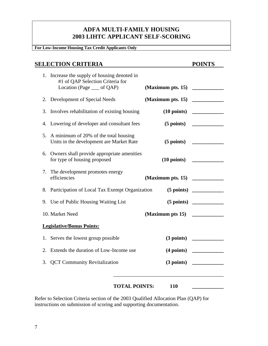## **ADFA MULTI-FAMILY HOUSING 2003 LIHTC APPLICANT SELF-SCORING**

#### **For Low-Income Housing Tax Credit Applicants Only**

## **SELECTION CRITERIA POINTS**

|    | 1. Increase the supply of housing denoted in<br>#1 of QAP Selection Criteria for<br>Location (Page __ of QAP) |                      |                   |                       |
|----|---------------------------------------------------------------------------------------------------------------|----------------------|-------------------|-----------------------|
|    | 2. Development of Special Needs                                                                               |                      | (Maximum pts. 15) |                       |
| 3. | Involves rehabilitation of existing housing                                                                   |                      |                   |                       |
|    | 4. Lowering of developer and consultant fees                                                                  |                      |                   | $(5 \text{ points})$  |
|    | 5. A minimum of 20% of the total housing<br>Units in the development are Market Rate                          |                      |                   | $(5 \text{ points})$  |
|    | 6. Owners shall provide appropriate amenities<br>for type of housing proposed                                 |                      |                   | $(10 \text{ points})$ |
|    | 7. The development promotes energy<br>efficiencies                                                            |                      |                   |                       |
|    | 8. Participation of Local Tax Exempt Organization                                                             |                      |                   | $(5 \text{ points})$  |
|    | 9. Use of Public Housing Waiting List                                                                         |                      |                   | $(5 \text{ points})$  |
|    | 10. Market Need                                                                                               |                      | (Maximum pts 15)  |                       |
|    | <b>Legislative/Bonus Points:</b>                                                                              |                      |                   |                       |
|    | 1. Serves the lowest group possible                                                                           |                      |                   | $(3 \text{ points})$  |
| 2. | Extends the duration of Low-Income use                                                                        |                      |                   | $(4 \text{ points})$  |
| 3. | <b>QCT Community Revitalization</b>                                                                           |                      |                   | $(3 \text{ points})$  |
|    |                                                                                                               | <b>TOTAL POINTS:</b> | 110               |                       |

Refer to Selection Criteria section of the 2003 Qualified Allocation Plan (QAP) for instructions on submission of scoring and supporting documentation.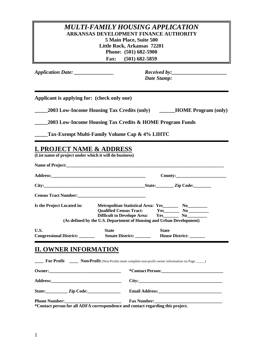## *MULTI-FAMILY HOUSING APPLICATION* **ARKANSAS DEVELOPMENT FINANCE AUTHORITY 5 Main Place, Suite 500 Little Rock, Arkansas 72201 Phone: (501) 682-5900 Fax: (501) 682-5859**

*Application Date: \_\_\_\_\_\_\_\_\_\_\_\_\_\_\_ Received by:\_\_\_\_\_\_\_\_\_\_\_\_\_\_\_\_\_\_\_\_\_*

*Date Stamp:*

**Applicant is applying for: (check only one)**

**\_\_\_\_\_2003 Low-Income Housing Tax Credits (only) \_\_\_\_\_\_HOME Program (only)**

**\_\_\_\_\_2003 Low-Income Housing Tax Credits & HOME Program Funds**

**\_\_\_\_\_Tax-Exempt Multi-Family Volume Cap & 4% LIHTC**

## **I. PROJECT NAME & ADDRESS**

**(List name of project under which it will do business)**

|                            |                                                                      |              | State: <u>Zip Code:</u> |
|----------------------------|----------------------------------------------------------------------|--------------|-------------------------|
|                            | Census Tract Number:<br><u>Census Tract Number:</u>                  |              |                         |
| Is the Project Located in: | Metropolitan Statistical Area: Yes__________ No___________           |              |                         |
|                            | Qualified Census Tract: Yes_________ No _________                    |              |                         |
|                            | Difficult to Develope Area: Yes No No                                |              |                         |
|                            | (As defined by the U.S. Department of Housing and Urban Development) |              |                         |
| U.S.                       | <b>State</b>                                                         | <b>State</b> |                         |
| Congressional District:    | <b>Senate District:</b> House District:                              |              |                         |

## **II. OWNER INFORMATION**

|                                                                                 | <b>For Profit</b> ______ Non-Profit (Non-Profits must complete non-profit owner information on Page ____)      |
|---------------------------------------------------------------------------------|----------------------------------------------------------------------------------------------------------------|
|                                                                                 |                                                                                                                |
|                                                                                 | City:                                                                                                          |
| State: <u>Zip Code:</u>                                                         |                                                                                                                |
|                                                                                 | Fax Number: 1988 Manual Manual Manual Manual Manual Manual Manual Manual Manual Manual Manual Manual Manual Ma |
| *Contact person for all ADFA correspondence and contact regarding this project. |                                                                                                                |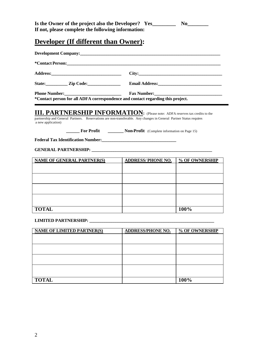| Is the Owner of the project also the Developer? Yes_ | N0 |
|------------------------------------------------------|----|
| If not, please complete the following information:   |    |

## **Developer (If different than Owner):**

|                         | City:                                                                                                          |
|-------------------------|----------------------------------------------------------------------------------------------------------------|
| State: <u>Zip Code:</u> |                                                                                                                |
| Phone Number:           | Fax Number: 1988 Manual Manual Manual Manual Manual Manual Manual Manual Manual Manual Manual Manual Manual Ma |

#### **III. PARTNERSHIP INFORMATION:** (Please note: ADFA reserves tax credits to the partnership and General Partners. Reservations are non-transferable. Any changes in General Partner Status requires

a new application)

**\_\_\_\_\_\_\_ For Profit** \_\_\_\_\_\_\_\_\_\_ **Non-Profit** (Complete information on Page 15)

**Federal Tax Identification Number:\_\_\_\_\_\_\_\_\_\_\_\_\_\_\_\_\_\_\_\_\_\_\_\_\_\_\_\_\_\_\_\_\_\_**

#### **GENERAL PARTNERSHIP: \_\_\_\_\_\_\_\_\_\_\_\_\_\_\_\_\_\_\_\_\_\_\_\_\_\_\_\_\_\_\_\_\_\_\_\_\_\_\_\_\_\_\_\_\_\_\_\_\_\_\_\_\_\_\_**

| <b>NAME OF GENERAL PARTNER(S)</b> | <b>ADDRESS/PHONE NO.</b> | % OF OWNERSHIP |
|-----------------------------------|--------------------------|----------------|
|                                   |                          |                |
|                                   |                          |                |
|                                   |                          |                |
|                                   |                          |                |
|                                   |                          |                |
|                                   |                          |                |
|                                   |                          |                |
|                                   |                          |                |
| <b>TOTAL</b>                      |                          | 100%           |

#### **LIMITED PARTNERSHIP: \_\_\_\_\_\_\_\_\_\_\_\_\_\_\_\_\_\_\_\_\_\_\_\_\_\_\_\_\_\_\_\_\_\_\_\_\_\_\_\_\_\_\_\_\_\_\_\_\_\_\_\_\_\_\_\_\_**

| <b>NAME OF LIMITED PARTNER(S)</b> | <b>ADDRESS/PHONE NO.</b> | % OF OWNERSHIP |
|-----------------------------------|--------------------------|----------------|
|                                   |                          |                |
|                                   |                          |                |
|                                   |                          |                |
|                                   |                          |                |
|                                   |                          |                |
|                                   |                          |                |
|                                   |                          |                |
| <b>TOTAL</b>                      |                          | 100%           |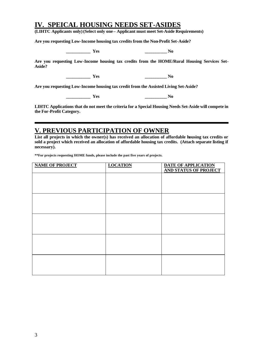## **IV. SPEICAL HOUSING NEEDS SET-ASIDES**

**(LIHTC Applicants only) (Select only one – Applicant must meet Set-Aside Requirements)**

**Are you requesting Low-Income housing tax credits from the Non-Profit Set-Aside?**

| es<br>$-$ |
|-----------|
|-----------|

**\_\_\_\_\_\_\_\_\_\_\_ Yes \_\_\_\_\_\_\_\_\_\_ No**

**Are you requesting Low-Income housing tax credits from the HOME/Rural Housing Services Set-Aside?**

**\_\_\_\_\_\_\_\_\_\_\_ Yes \_\_\_\_\_\_\_\_\_\_ No**

**Are you requesting Low-Income housing tax credit from the Assisted Living Set-Aside?**

**\_\_\_\_\_\_\_\_\_\_\_ Yes \_\_\_\_\_\_\_\_\_\_ No**

**LIHTC Applications that do not meet the criteria for a Special Housing Needs Set-Aside will compete in the For-Profit Category.**

## **V. PREVIOUS PARTICIPATION OF OWNER**

**List all projects in which the owner(s) has received an allocation of affordable housing tax credits or sold a project which received an allocation of affordable housing tax credits. (Attach separate listing if necessary).**

**\*\*For projects requesting HOME funds, please include the past five years of projects.**

| <b>NAME OF PROJECT</b> | <b>LOCATION</b> | DATE OF APPLICATION          |
|------------------------|-----------------|------------------------------|
|                        |                 | <b>AND STATUS OF PROJECT</b> |
|                        |                 |                              |
|                        |                 |                              |
|                        |                 |                              |
|                        |                 |                              |
|                        |                 |                              |
|                        |                 |                              |
|                        |                 |                              |
|                        |                 |                              |
|                        |                 |                              |
|                        |                 |                              |
|                        |                 |                              |
|                        |                 |                              |
|                        |                 |                              |
|                        |                 |                              |
|                        |                 |                              |
|                        |                 |                              |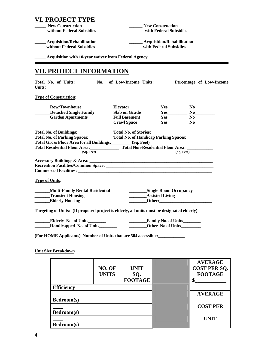| VI. PROJECT TYPE                                                                                 |              |                                                           |                                   |                                                        |  |
|--------------------------------------------------------------------------------------------------|--------------|-----------------------------------------------------------|-----------------------------------|--------------------------------------------------------|--|
| <b>New Construction</b>                                                                          |              |                                                           | <b>New Construction</b>           |                                                        |  |
| without Federal Subsidies                                                                        |              |                                                           | with Federal Subsidies            |                                                        |  |
| <b>Acquisition/Rehabilitation</b>                                                                |              |                                                           | <b>Acquisition/Rehabilitation</b> |                                                        |  |
| without Federal Subsidies                                                                        |              |                                                           | with Federal Subsidies            |                                                        |  |
|                                                                                                  |              |                                                           |                                   |                                                        |  |
| ____ Acquisition with 10-year waiver from Federal Agency                                         |              |                                                           |                                   |                                                        |  |
| <b>VII. PROJECT INFORMATION</b>                                                                  |              |                                                           |                                   |                                                        |  |
| Total No. of Units:________ No. of Low-Income Units:_________ Percentage of Low-Income<br>Units: |              |                                                           |                                   |                                                        |  |
| <b>Type of Construction:</b>                                                                     |              |                                                           |                                   |                                                        |  |
| <b>Row/Townhouse</b>                                                                             |              | <b>Elevator</b>                                           |                                   | $Yes$ No                                               |  |
| ________Detached Single Family                                                                   |              | <b>Slab on Grade</b>                                      |                                   | $Yes$ No                                               |  |
| <b>Example 3 Garden Apartments</b>                                                               |              | <b>Full Basement</b>                                      |                                   | $Yes$ No No                                            |  |
|                                                                                                  |              | <b>Crawl Space</b>                                        |                                   | $Yes$ No                                               |  |
| Total No. of Buildings:                                                                          |              | Total No. of Stories:                                     |                                   |                                                        |  |
| Total No. of Parking Spaces:_______                                                              |              |                                                           |                                   | Total No. of Handicap Parking Spaces:<br><u>Factor</u> |  |
| Total Gross Floor Area for all Buildings: (Sq. Feet)                                             |              |                                                           |                                   |                                                        |  |
|                                                                                                  |              |                                                           |                                   |                                                        |  |
| (Sq. Feet)                                                                                       |              |                                                           |                                   | $(Sq. \text{ feet})$                                   |  |
|                                                                                                  |              |                                                           |                                   |                                                        |  |
|                                                                                                  |              |                                                           |                                   |                                                        |  |
| <b>Commercial Facilities:</b> <u>Commercial</u> Facilities:                                      |              |                                                           |                                   |                                                        |  |
| <b>Type of Units:</b>                                                                            |              |                                                           |                                   |                                                        |  |
|                                                                                                  |              |                                                           |                                   |                                                        |  |
| <b>Multi-Family Rental Residential</b>                                                           |              |                                                           | ___________Single Room Occupancy  |                                                        |  |
| <b>Transient Housing</b>                                                                         |              |                                                           | <b>Assisted Living</b>            |                                                        |  |
| <b>Elderly Housing</b>                                                                           |              |                                                           |                                   |                                                        |  |
| Targeting of Units: (If proposed project is elderly, all units must be designated elderly)       |              |                                                           |                                   |                                                        |  |
|                                                                                                  |              | $\overline{\phantom{a}}$                                  | Family No. of Units               |                                                        |  |
|                                                                                                  |              | $\mathcal{L}^{\text{max}}$ and $\mathcal{L}^{\text{max}}$ | Other No of Units                 |                                                        |  |
|                                                                                                  |              |                                                           |                                   |                                                        |  |
| (For HOME Applicants) Number of Units that are 504 accessible:                                   |              |                                                           |                                   |                                                        |  |
|                                                                                                  |              |                                                           |                                   |                                                        |  |
| <b>Unit Size Breakdown:</b>                                                                      |              |                                                           |                                   |                                                        |  |
|                                                                                                  |              |                                                           |                                   | <b>AVERAGE</b>                                         |  |
|                                                                                                  | NO. OF       | <b>UNIT</b>                                               |                                   | <b>COST PER SQ.</b>                                    |  |
|                                                                                                  |              |                                                           |                                   |                                                        |  |
|                                                                                                  | <b>UNITS</b> | SQ.                                                       |                                   | <b>FOOTAGE</b>                                         |  |
|                                                                                                  |              | <b>FOOTAGE</b>                                            |                                   | \$                                                     |  |
| <b>Efficiency</b>                                                                                |              |                                                           |                                   |                                                        |  |
|                                                                                                  |              |                                                           |                                   | <b>AVERAGE</b>                                         |  |
| Bedroom(s)                                                                                       |              |                                                           |                                   |                                                        |  |
|                                                                                                  |              |                                                           |                                   | <b>COST PER</b>                                        |  |
| Bedroom(s)                                                                                       |              |                                                           |                                   |                                                        |  |

**UNIT**

**\_\_\_\_** 

**Bedroom(s)**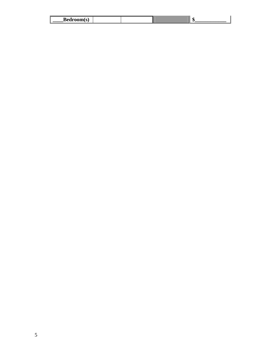| <b>Bedroom(s)</b> |  |  |
|-------------------|--|--|
|                   |  |  |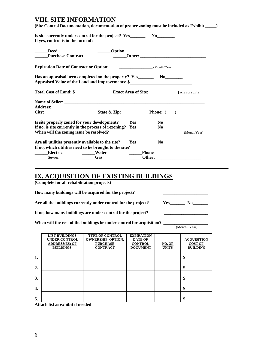## **VIII. SITE INFORMATION**

| If yes, control is in the form of:                 | Is site currently under control for the project? Yes_____________________________                                           |              |  |
|----------------------------------------------------|-----------------------------------------------------------------------------------------------------------------------------|--------------|--|
| <b>Deed</b><br><b>Purchase Contract</b>            | ______Option                                                                                                                |              |  |
| <b>Expiration Date of Contract or Option:</b>      |                                                                                                                             | (Month/Year) |  |
|                                                    | Appraised Value of the Land and Improvements: \$                                                                            |              |  |
|                                                    |                                                                                                                             |              |  |
|                                                    | <b>Total Cost of Land: \$</b> [ <i>Cost of Land: \$ Cost of Simmary <b>Exact Area of Site:</b> [<i>acres or sq.ft</i>)]</i> |              |  |
|                                                    |                                                                                                                             |              |  |
|                                                    |                                                                                                                             |              |  |
|                                                    | City: State & Zip: Phone: $\qquad \qquad$ Phone: $\qquad \qquad$                                                            |              |  |
|                                                    |                                                                                                                             |              |  |
|                                                    | Is site properly zoned for your development? Yes_________________________________                                           |              |  |
| When will the zoning issue be resolved?            |                                                                                                                             |              |  |
|                                                    |                                                                                                                             | $Yes$ No     |  |
| Are all utilities presently available to the site? |                                                                                                                             |              |  |
| Electric                                           | If no, which utilities need to be brought to the site?<br><b>Water</b>                                                      | <b>Phone</b> |  |

## **IX. ACQUISITION OF EXISTING BUILDINGS**

**(Complete for all rehabilitation projects)**

How many buildings will be acquired for the project?

Are all the buildings currently under control for the project?

| $\sim$ |
|--------|
|--------|

If no, how many buildings are under control for the project?

| When will the rest of the buildings be under control for acquisition? |                |
|-----------------------------------------------------------------------|----------------|
|                                                                       | (Month / Year) |

|                  | <b>LIST BUILDINGS</b><br><b>UNDER CONTROL</b><br><b>ADDRESS(ES) OF</b><br><b>BUILDINGS</b> | <b>TYPE OF CONTROL</b><br><b>OWNERSHIP, OPTION,</b><br><b>PURCHASE</b><br><b>CONTRACT</b> | <b>EXPIRATION</b><br><b>DATE OF</b><br><b>CONTROL</b><br><b>DOCUMENT</b> | NO. OF<br><b>UNITS</b> | <b>ACOUISITION</b><br><b>COST OF</b><br><b>BUILDING</b> |
|------------------|--------------------------------------------------------------------------------------------|-------------------------------------------------------------------------------------------|--------------------------------------------------------------------------|------------------------|---------------------------------------------------------|
| 1.               |                                                                                            |                                                                                           |                                                                          |                        | \$                                                      |
| $\overline{2}$ . |                                                                                            |                                                                                           |                                                                          |                        | \$                                                      |
| 3.               |                                                                                            |                                                                                           |                                                                          |                        | \$                                                      |
| 4.               |                                                                                            |                                                                                           |                                                                          |                        | \$                                                      |
| 5.               |                                                                                            |                                                                                           |                                                                          |                        | \$                                                      |

**Attach list as exhibit if needed**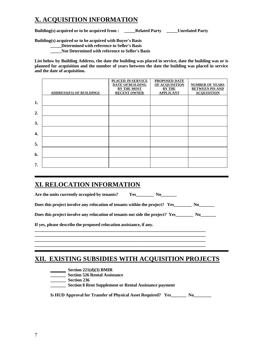## **X. ACQUISITION INFORMATION**

**Building(s) acquired or to be acquired from : \_\_\_\_\_Related Party \_\_\_\_\_Unrelated Party**

**Building(s) acquired or to be acquired with Buyer's Basis**

**\_\_\_\_\_Determined with reference to Seller's Basis**

**\_\_\_\_\_Not Determined with reference to Seller's Basis**

**List below by Building Address, the date the building was placed in service, date the building was or is planned for acquisition and the number of years between the date the building was placed in service and the date of acquisition.**

|    |                                 | PLACED-IN-SERVICE       | PROPOSED DATE         |                        |
|----|---------------------------------|-------------------------|-----------------------|------------------------|
|    |                                 | <b>DATE OF BUILDING</b> | <b>OF ACOUISITION</b> | <b>NUMBER OF YEARS</b> |
|    |                                 |                         |                       |                        |
|    |                                 | <b>BY THE MOST</b>      | <b>BY THE</b>         | <b>BETWEEN PIS AND</b> |
|    | <b>ADDRESS(ES) OF BUILDINGS</b> | <b>RECENT OWNER</b>     | <b>APPLICANT</b>      | <b>ACQUISITION</b>     |
|    |                                 |                         |                       |                        |
|    |                                 |                         |                       |                        |
| 1. |                                 |                         |                       |                        |
|    |                                 |                         |                       |                        |
|    |                                 |                         |                       |                        |
| 2. |                                 |                         |                       |                        |
|    |                                 |                         |                       |                        |
|    |                                 |                         |                       |                        |
| 3. |                                 |                         |                       |                        |
|    |                                 |                         |                       |                        |
|    |                                 |                         |                       |                        |
| 4. |                                 |                         |                       |                        |
|    |                                 |                         |                       |                        |
|    |                                 |                         |                       |                        |
| 5. |                                 |                         |                       |                        |
|    |                                 |                         |                       |                        |
|    |                                 |                         |                       |                        |
|    |                                 |                         |                       |                        |
| 6. |                                 |                         |                       |                        |
|    |                                 |                         |                       |                        |
|    |                                 |                         |                       |                        |
| 7. |                                 |                         |                       |                        |

## **XI. RELOCATION INFORMATION**

Are the units currently occupied by tenants? Yes No

|  | Does this project involve any relocation of tenants within the project? Yes_ |  |  |
|--|------------------------------------------------------------------------------|--|--|
|  |                                                                              |  |  |

**Does this project involve any relocation of tenants out side the project? Yes No** 

**\_\_\_\_\_\_\_\_\_\_\_\_\_\_\_\_\_\_\_\_\_\_\_\_\_\_\_\_\_\_\_\_\_\_\_\_\_\_\_\_\_\_\_\_\_\_\_\_\_\_\_\_\_\_\_\_\_\_\_\_\_\_\_\_\_\_\_\_\_\_\_\_\_\_\_\_\_\_ \_\_\_\_\_\_\_\_\_\_\_\_\_\_\_\_\_\_\_\_\_\_\_\_\_\_\_\_\_\_\_\_\_\_\_\_\_\_\_\_\_\_\_\_\_\_\_\_\_\_\_\_\_\_\_\_\_\_\_\_\_\_\_\_\_\_\_\_\_\_\_\_\_\_\_\_\_\_ \_\_\_\_\_\_\_\_\_\_\_\_\_\_\_\_\_\_\_\_\_\_\_\_\_\_\_\_\_\_\_\_\_\_\_\_\_\_\_\_\_\_\_\_\_\_\_\_\_\_\_\_\_\_\_\_\_\_\_\_\_\_\_\_\_\_\_\_\_\_\_\_\_\_\_\_\_\_ \_\_\_\_\_\_\_\_\_\_\_\_\_\_\_\_\_\_\_\_\_\_\_\_\_\_\_\_\_\_\_\_\_\_\_\_\_\_\_\_\_\_\_\_\_\_\_\_\_\_\_\_\_\_\_\_\_\_\_\_\_\_\_\_\_\_\_\_\_\_\_\_\_\_\_\_\_\_**

**If yes, please describe the proposed relocation assistance, if any.**

## **XII. EXISTING SUBSIDIES WITH ACQUISITION PROJECTS**

- **\_\_\_\_\_\_\_ Section 221(d)(3) BMIR**
- **\_\_\_\_\_\_\_ Section 526 Rental Assistance**
- **\_\_\_\_\_\_\_ Section 236**
- **\_\_\_\_\_\_\_ Section 8 Rent Supplement or Rental Assistance payment**

**Is HUD Approval for Transfer of Physical Asset Required? Yes\_\_\_\_\_\_\_ No\_\_\_\_\_\_\_\_**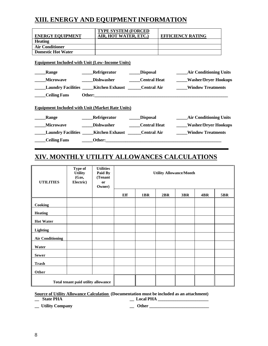## **XIII. ENERGY AND EQUIPMENT INFORMATION**

|                           | <b>TYPE SYSTEM (FORCED</b>                                    |                     |                                          |
|---------------------------|---------------------------------------------------------------|---------------------|------------------------------------------|
| <b>ENERGY EQUIPMENT</b>   | AIR, HOT WATER, ETC.)                                         |                     | <b>EFFICIENCY RATING</b>                 |
| <b>Heating</b>            |                                                               |                     |                                          |
| <b>Air Conditioner</b>    |                                                               |                     |                                          |
| <b>Domestic Hot Water</b> |                                                               |                     |                                          |
|                           | <b>Equipment Included with Unit (Low-Income Units)</b>        |                     |                                          |
| Range                     | <b>Refrigerator</b>                                           | _Disposal           | <b>Example 12 Air Conditioning Units</b> |
| <b>Microwave</b>          | <b>Dishwasher</b>                                             | <b>Central Heat</b> | <b>Washer/Dryer Hookups</b>              |
|                           | Laundry Facilities Kitchen Exhaust Central Air                |                     | <b>Window Treatments</b>                 |
| <b>Ceiling Fans</b>       |                                                               |                     |                                          |
|                           | <b>Equipment Included with Unit (Market Rate Units)</b>       |                     |                                          |
| Range                     | _Refrigerator                                                 | <b>Disposal</b>     | <b>Example 12 Air Conditioning Units</b> |
| <b>Microwave</b>          | <b>Dishwasher</b>                                             | <b>Central Heat</b> | Washer/Dryer Hookups                     |
|                           | Laundry Facilities ______ Kitchen Exhaust _______ Central Air |                     | <b>Window Treatments</b>                 |
| <b>Ceiling Fans</b>       | Other:                                                        |                     |                                          |
|                           |                                                               |                     |                                          |

## **XIV. MONTHLY UTILITY ALLOWANCES CALCULATIONS**

| <b>UTILITIES</b>        | Type of<br><b>Utility</b><br>(Gas,<br>Electric) | <b>Utilities</b><br>Paid By<br>(Tenant<br>or<br>Owner) |     |     | <b>Utility Allowance/Month</b> |            |     |            |
|-------------------------|-------------------------------------------------|--------------------------------------------------------|-----|-----|--------------------------------|------------|-----|------------|
|                         |                                                 |                                                        | Eff | 1BR | 2BR                            | <b>3BR</b> | 4BR | <b>5BR</b> |
| Cooking                 |                                                 |                                                        |     |     |                                |            |     |            |
| <b>Heating</b>          |                                                 |                                                        |     |     |                                |            |     |            |
| <b>Hot Water</b>        |                                                 |                                                        |     |     |                                |            |     |            |
| <b>Lighting</b>         |                                                 |                                                        |     |     |                                |            |     |            |
| <b>Air Conditioning</b> |                                                 |                                                        |     |     |                                |            |     |            |
| Water                   |                                                 |                                                        |     |     |                                |            |     |            |
| <b>Sewer</b>            |                                                 |                                                        |     |     |                                |            |     |            |
| <b>Trash</b>            |                                                 |                                                        |     |     |                                |            |     |            |
| Other                   |                                                 |                                                        |     |     |                                |            |     |            |
|                         | Total tenant paid utility allowance             |                                                        |     |     |                                |            |     |            |

## **Source of Utility Allowance Calculation (Documentation must be included as an attachment)**

**\_\_ State PHA \_\_ Local PHA \_\_\_\_\_\_\_\_\_\_\_\_\_\_\_\_\_\_\_\_\_\_\_**

**\_\_ Utility Company \_\_ Other \_\_\_\_\_\_\_\_\_\_\_\_\_\_\_\_\_\_\_\_\_\_\_\_\_\_\_**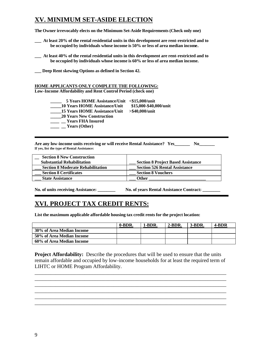## **XV. MINIMUM SET-ASIDE ELECTION**

**The Owner irrevocably elects on the Minimum Set-Aside Requirements (Check only one)**

**\_\_\_ At least 20% of the rental residential units in this development are rent-restricted and to be occupied by individuals whose income is 50% or less of area median income.**

**\_\_\_ At least 40% of the rental residential units in this development are rent-restricted and to be occupied by individuals whose income is 60% or less of area median income.**

**\_\_\_ Deep Rent skewing Options as defined in Section 42.**

#### **HOME APPLICANTS ONLY COMPLETE THE FOLLOWING: Low-Income Affordability and Rent Control Period (check one)**

**\_\_\_\_\_ 5 Years HOME Assistance/Unit <\$15,000/unit \_\_\_\_\_10 Years HOME Assistance/Unit \$15,000-\$40,000/unit \_\_\_\_\_15 Years HOME Assistance/Unit >\$40,000/unit \_\_\_\_\_20 Years New Construction \_\_\_\_ \_\_ Years FHA Insured \_\_\_\_ \_\_ Years (Other)**

**Are any low-income units receiving or will receive Rental Assistance? Yes\_\_\_\_\_\_\_ No\_\_\_\_\_\_\_ If yes, list the type of Rental Assistance:**

| <b>Section 8 New Construction</b><br><b>Substantial Rehabilitation</b> | <b>Section 8 Project Based Assistance</b> |
|------------------------------------------------------------------------|-------------------------------------------|
| <b>Section 8 Moderate Rehabilitation</b>                               | <b>Section 526 Rental Assistance</b>      |
| <b>Section 8 Certificates</b>                                          | <b>Section 8 Vouchers</b>                 |
| <b>State Assistance</b>                                                | <b>Other</b>                              |

**No. of units receiving Assistance: \_\_\_\_\_\_\_\_ No. of years Rental Assistance Contract: \_\_\_\_\_\_\_\_**

## **XVI. PROJECT TAX CREDIT RENTS:**

**List the maximum applicable affordable housing tax credit rents for the project location:**

|                           | 0-BDR. | 1-BDR. | $2-BDR.$ | $3-BDR.$ | 4-BDR |
|---------------------------|--------|--------|----------|----------|-------|
| 30% of Area Median Income |        |        |          |          |       |
| 50% of Area Median Income |        |        |          |          |       |
| 60% of Area Median Income |        |        |          |          |       |

**Project Affordability:** Describe the procedures that will be used to ensure that the units remain affordable and occupied by low-income households for at least the required term of LIHTC or HOME Program Affordability.

\_\_\_\_\_\_\_\_\_\_\_\_\_\_\_\_\_\_\_\_\_\_\_\_\_\_\_\_\_\_\_\_\_\_\_\_\_\_\_\_\_\_\_\_\_\_\_\_\_\_\_\_\_\_\_\_\_\_\_\_\_\_\_\_\_\_\_\_\_\_\_\_\_ \_\_\_\_\_\_\_\_\_\_\_\_\_\_\_\_\_\_\_\_\_\_\_\_\_\_\_\_\_\_\_\_\_\_\_\_\_\_\_\_\_\_\_\_\_\_\_\_\_\_\_\_\_\_\_\_\_\_\_\_\_\_\_\_\_\_\_\_\_\_\_\_\_ \_\_\_\_\_\_\_\_\_\_\_\_\_\_\_\_\_\_\_\_\_\_\_\_\_\_\_\_\_\_\_\_\_\_\_\_\_\_\_\_\_\_\_\_\_\_\_\_\_\_\_\_\_\_\_\_\_\_\_\_\_\_\_\_\_\_\_\_\_\_\_\_\_ \_\_\_\_\_\_\_\_\_\_\_\_\_\_\_\_\_\_\_\_\_\_\_\_\_\_\_\_\_\_\_\_\_\_\_\_\_\_\_\_\_\_\_\_\_\_\_\_\_\_\_\_\_\_\_\_\_\_\_\_\_\_\_\_\_\_\_\_\_\_\_\_\_ \_\_\_\_\_\_\_\_\_\_\_\_\_\_\_\_\_\_\_\_\_\_\_\_\_\_\_\_\_\_\_\_\_\_\_\_\_\_\_\_\_\_\_\_\_\_\_\_\_\_\_\_\_\_\_\_\_\_\_\_\_\_\_\_\_\_\_\_\_\_\_\_\_ \_\_\_\_\_\_\_\_\_\_\_\_\_\_\_\_\_\_\_\_\_\_\_\_\_\_\_\_\_\_\_\_\_\_\_\_\_\_\_\_\_\_\_\_\_\_\_\_\_\_\_\_\_\_\_\_\_\_\_\_\_\_\_\_\_\_\_\_\_\_\_\_\_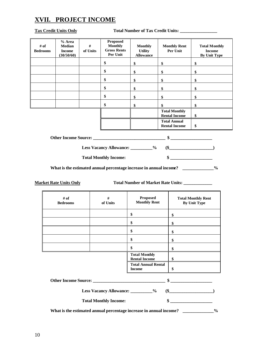## **XVII. PROJECT INCOME**

**Tax Credit Units Only Total Number of Tax Credit Units: \_\_\_\_\_\_\_\_\_\_\_\_\_\_\_\_\_**

| # of<br><b>Bedrooms</b> | % Area<br><b>Median</b><br><b>Income</b><br>(30/50/60) | $\#$<br>of Units | <b>Proposed</b><br><b>Monthly</b><br><b>Gross Rents</b><br>Per Unit | <b>Monthly</b><br><b>Utility</b><br><b>Allowance</b> | <b>Monthly Rent</b><br>Per Unit              | <b>Total Monthly</b><br><b>Income</b><br>By Unit Type |
|-------------------------|--------------------------------------------------------|------------------|---------------------------------------------------------------------|------------------------------------------------------|----------------------------------------------|-------------------------------------------------------|
|                         |                                                        |                  | \$                                                                  | \$                                                   | \$                                           | \$                                                    |
|                         |                                                        |                  | \$                                                                  | \$                                                   | \$                                           | \$                                                    |
|                         |                                                        |                  | \$                                                                  | \$                                                   | \$                                           | \$                                                    |
|                         |                                                        |                  | \$                                                                  | \$                                                   | \$                                           | \$                                                    |
|                         |                                                        |                  | \$                                                                  | \$                                                   | \$                                           | \$                                                    |
|                         |                                                        |                  | \$                                                                  | \$                                                   | \$                                           | \$                                                    |
|                         |                                                        |                  |                                                                     |                                                      | <b>Total Monthly</b><br><b>Rental Income</b> | \$                                                    |
|                         |                                                        |                  |                                                                     |                                                      | <b>Total Annual</b><br><b>Rental Income</b>  | \$                                                    |
|                         | <b>Other Income Source:</b>                            |                  |                                                                     |                                                      | \$                                           |                                                       |

**Less Vacancy Allowance: \_\_\_\_\_\_\_\_\_\_% (\$\_\_\_\_\_\_\_\_\_\_\_\_\_\_\_\_\_\_\_\_)**

**Total Monthly Income: \$ \_\_\_\_\_\_\_\_\_\_\_\_\_\_\_\_\_\_\_**

What is the estimated annual percentage increase in annual income? \_\_\_\_\_\_\_\_\_\_\_\_\_%

| <b>Market Rate Units Only</b> |  |  |
|-------------------------------|--|--|
|                               |  |  |

Total Number of Market Rate Units: **With Allen Property Rate Units:**  $\frac{1}{\sqrt{2\pi}}$ 

| # of<br><b>Bedrooms</b>                                            | #<br>of Units                | <b>Proposed</b><br><b>Monthly Rent</b>       | <b>Total Monthly Rent</b><br><b>By Unit Type</b> |  |  |
|--------------------------------------------------------------------|------------------------------|----------------------------------------------|--------------------------------------------------|--|--|
|                                                                    |                              | \$                                           | \$                                               |  |  |
|                                                                    |                              | \$                                           | \$                                               |  |  |
|                                                                    |                              | \$                                           | \$                                               |  |  |
|                                                                    |                              | \$                                           | \$                                               |  |  |
|                                                                    |                              | \$                                           | \$                                               |  |  |
|                                                                    |                              | <b>Total Monthly</b><br><b>Rental Income</b> | \$                                               |  |  |
|                                                                    | \$                           |                                              |                                                  |  |  |
| $\frac{1}{2}$                                                      |                              |                                              |                                                  |  |  |
| Less Vacancy Allowance: __________%<br>$(\$\$                      |                              |                                              |                                                  |  |  |
|                                                                    | <b>Total Monthly Income:</b> |                                              | $\sim$                                           |  |  |
| What is the estimated annual percentage increase in annual income? |                              |                                              |                                                  |  |  |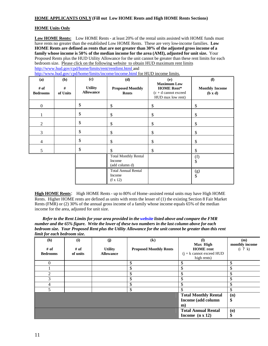#### **HOME APPLICANTS ONLY (Fill out Low HOME Rents and High HOME Rents Sections)**

#### **HOME Units Only**

**Low HOME Rents:** Low HOME Rents - at least 20% of the rental units assisted with HOME funds must have rents no greater than the established Low HOME Rents. These are very low-income families. **Low HOME Rents are defined as rents that are not greater than 30% of the adjusted gross income of a family whose income is 50% of the median income for the area (AMI), adjusted for unit size.** Your Proposed Rents plus the HUD Utility Allowance for the unit cannot be greater than these rent limits for each bedroom size. Please click on the following website to obtain HUD maximum rent limits http://www.hud.gov/cpd/home/limits/rent/rentlimt.html and

http://www.hud.gov/cpd/home/limits/income/income.html for HUD income.limits.

|                         |               |                                    | http://www.nuu.gov/cpu/nome/mmis/mcome/mcome.num for free meonic mmis. |                                                                                         |                                  |
|-------------------------|---------------|------------------------------------|------------------------------------------------------------------------|-----------------------------------------------------------------------------------------|----------------------------------|
| (a)                     | (b)           | (c)                                | (d)                                                                    | (e)                                                                                     | $\bf{(f)}$                       |
| # of<br><b>Bedrooms</b> | #<br>of Units | <b>Utility</b><br><b>Allowance</b> | <b>Proposed Monthly</b><br>Rents                                       | <b>Maximum Low</b><br><b>HOME Rent*</b><br>$(c + d)$ cannot exceed<br>HUD max low rent) | <b>Monthly Income</b><br>(b x d) |
| $\mathbf{0}$            |               | \$                                 | \$                                                                     | \$                                                                                      | \$                               |
|                         |               | \$                                 | \$                                                                     | \$                                                                                      | \$                               |
| 2                       |               | \$                                 | \$                                                                     | \$                                                                                      | \$                               |
| 3                       |               | \$                                 | \$                                                                     | \$                                                                                      | \$                               |
| $\overline{4}$          |               | \$                                 | \$                                                                     | \$                                                                                      | $\mathbb{S}$                     |
| 5                       |               | \$                                 | \$                                                                     | \$                                                                                      | \$                               |
|                         |               |                                    | <b>Total Monthly Rental</b><br>Income<br>(add column d)                |                                                                                         | (f)<br>\$                        |
|                         |               |                                    | <b>Total Annual Rental</b><br>Income<br>$(f \times 12)$                |                                                                                         | (g)<br>$\mathbb{S}$              |

**High HOME Rents**: High HOME Rents - up to 80% of Home-assisted rental units may have High HOME Rents. Higher HOME rents are defined as units with rents the lesser of (1) the existing Section 8 Fair Market Rents (FMR) or (2) 30% of the annual gross income of a family whose income equals 65% of the median income for the area, adjusted for unit size.

*Refer to the Rent Limits for your area provided in the website listed above and compare the FMR number and the 65% figure. Write the lower of these two numbers in the last column above for each bedroom size. Your Proposed Rent plus the Utility Allowance for the unit cannot be greater than this rent limit for each bedroom size.*

| (h)             | (i)      | (j)              | $\left( \mathbf{k}\right)$    | $\mathbf{I}$                                       | (m)                                      |
|-----------------|----------|------------------|-------------------------------|----------------------------------------------------|------------------------------------------|
| # of            | $#$ of   | <b>Utility</b>   | <b>Proposed Monthly Rents</b> | Max High<br><b>HOME</b> rent                       | monthly income<br>(i ? k)                |
| <b>Bedrooms</b> | of units | <b>Allowance</b> |                               | $(j + k \text{ cannot exceed HUD})$<br>high rents) |                                          |
| $\theta$        |          |                  | \$                            | ۰D                                                 | \$                                       |
|                 |          |                  | ה.                            | ۰D.                                                | \$                                       |
| $\mathfrak{D}$  |          |                  | \$                            | ъ                                                  | \$                                       |
| 3               |          |                  | \$                            | Φ<br>Ъ.                                            | \$                                       |
|                 |          |                  | \$                            | ۰D.                                                | \$                                       |
|                 |          |                  | \$                            |                                                    | \$                                       |
|                 |          |                  |                               | <b>Total Monthly Rental</b>                        | (n)                                      |
|                 |          |                  |                               | Income (add column                                 | \$                                       |
|                 |          |                  |                               | $\mathbf{m}$                                       |                                          |
|                 |          |                  |                               | <b>Total Annual Rental</b>                         | $\boldsymbol{\left( \mathbf{0}\right) }$ |
|                 |          |                  |                               | Income $(n \times 12)$                             | ъ                                        |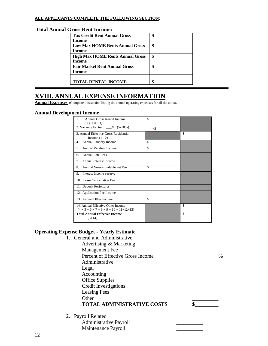#### **ALL APPLICANTS COMPLETE THE FOLLOWING SECTION:**

#### **Total Annual Gross Rent Income:**

| <b>Tax Credit Rent Annual Gross</b>     | \$ |
|-----------------------------------------|----|
| Income                                  |    |
| <b>Low Max HOME Rents Annual Gross</b>  | \$ |
| Income                                  |    |
| <b>High Max HOME Rents Annual Gross</b> | \$ |
| Income                                  |    |
| <b>Fair Market Rent Annual Gross</b>    | \$ |
| Income                                  |    |
|                                         |    |
| <b>TOTAL RENTAL INCOME</b>              | \$ |

## **XVIII. ANNUAL EXPENSE INFORMATION**

Annual Expenses (Complete this section listing the annual operating expenses for all the units).

#### **Annual Development Income**

| Annual Gross Rental Income<br>$(g + n + t)$                      | \$  |    |
|------------------------------------------------------------------|-----|----|
| 2. Vacancy Factor of __% (5-10%)                                 | -\$ |    |
| 3. Annual Effective Gross Residential<br>Income $(1 - 2)$        |     | \$ |
| Annual Laundry Income<br>4.                                      | \$  |    |
| Annual Vending Income<br>5.                                      | \$  |    |
| <b>Annual Late Fees</b><br>б.                                    |     |    |
| <b>Annual Interest Income</b><br>7 <sup>1</sup>                  |     |    |
| Annual Non-refundable Pet Fee<br>8                               | \$  |    |
| Interest Income-reserve<br>9.                                    |     |    |
| 10. Lease Cancellation Fee                                       |     |    |
| 11. Deposit Forfeitures                                          |     |    |
| 12. Application Fee Income                                       |     |    |
| 13. Annual Other Income                                          | \$  |    |
| 14. Annual Effective Other Income<br>$(4+5+6+7+8+9+10+11+12+13)$ |     | \$ |
| <b>Total Annual Effective Income</b><br>$(3+14)$                 |     | \$ |

#### **Operating Expense Budget - Yearly Estimate**

1. General and Administrative Advertising & Marketing \_\_\_\_\_\_\_\_\_\_ Management Fee Percent of Effective Gross Income  $\%$ Administrative \_\_\_\_\_\_\_\_\_\_  $\qquad \qquad \text{Legal}$ Accounting \_\_\_\_\_\_\_\_\_\_ Office Supplies \_\_\_\_\_\_\_\_\_\_ Credit Investigations \_\_\_\_\_\_\_\_\_\_ Leasing Fees Other **contract the contract of the contract of the contract of the contract of the contract of the contract of the contract of the contract of the contract of the contract of the contract of the contract of the contract o TOTAL ADMINISTRATIVE COSTS \$\_\_\_\_\_\_\_\_\_** 2. Payroll Related Administrative Payroll \_\_\_\_\_\_\_\_\_\_ Maintenance Payroll \_\_\_\_\_\_\_\_\_\_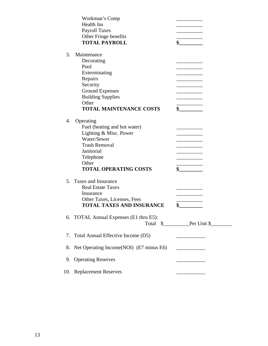|    | Workman's Comp                          |                             |
|----|-----------------------------------------|-----------------------------|
|    | <b>Health Ins</b>                       |                             |
|    | <b>Payroll Taxes</b>                    |                             |
|    | Other Fringe benefits                   |                             |
|    | <b>TOTAL PAYROLL</b>                    | \$                          |
| 3. | Maintenance                             |                             |
|    | Decorating                              |                             |
|    | Pool                                    |                             |
|    | Exterminating                           |                             |
|    | Repairs                                 |                             |
|    | Security                                |                             |
|    | <b>Ground Expenses</b>                  |                             |
|    |                                         |                             |
|    | <b>Building Supplies</b><br>Other       |                             |
|    | <b>TOTAL MAINTENANCE COSTS</b>          |                             |
|    |                                         | s                           |
| 4. | Operating                               |                             |
|    | Fuel (heating and hot water)            |                             |
|    | Lighting & Misc. Power                  |                             |
|    | Water/Sewer                             |                             |
|    | <b>Trash Removal</b>                    |                             |
|    | Janitorial                              |                             |
|    | Telephone                               |                             |
|    | Other                                   |                             |
|    | <b>TOTAL OPERATING COSTS</b>            | $\sim$                      |
| 5. | Taxes and Insurance                     |                             |
|    | <b>Real Estate Taxes</b>                |                             |
|    | Insurance                               |                             |
|    | Other Taxes, Licenses, Fees             |                             |
|    | <b>TOTAL TAXES AND INSURANCE</b>        | \$                          |
|    |                                         |                             |
|    | 6. TOTAL Annual Expenses (E1 thru E5):  |                             |
|    |                                         |                             |
| 7. | Total Annual Effective Income (D5)      |                             |
| 8. | Net Operating Income(NOI) (E7 minus E6) |                             |
|    |                                         | <u> 1989 - Andrea State</u> |
| 9. | <b>Operating Reserves</b>               |                             |
|    | 10. Replacement Reserves                |                             |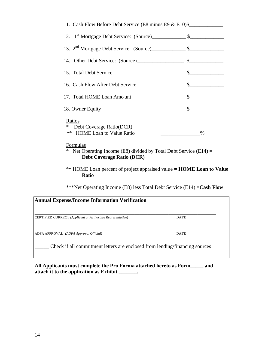| 11. Cash Flow Before Debt Service (E8 minus E9 & E10)\$                          |                |
|----------------------------------------------------------------------------------|----------------|
| 12. 1 <sup>st</sup> Mortgage Debt Service: (Source) 5                            |                |
| 13. $2nd$ Mortgage Debt Service: (Source) $\qquad \qquad$ \$                     |                |
|                                                                                  | $\mathbf S$    |
| 15. Total Debt Service                                                           | \$             |
| 16. Cash Flow After Debt Service                                                 | $\mathbb{S}^-$ |
| 17. Total HOME Loan Amount                                                       | \$             |
| 18. Owner Equity                                                                 |                |
| Ratios<br>Debt Coverage Ratio(DCR)<br>∗<br><b>HOME</b> Loan to Value Ratio<br>** |                |

Formulas

\* Net Operating Income (E8) divided by Total Debt Service (E14) = **Debt Coverage Ratio (DCR)**

\*\* HOME Loan percent of project appraised value **= HOME Loan to Value Ratio**

\*\*\*Net Operating Income (E8) less Total Debt Service (E14) =**Cash Flow**

| <b>Annual Expense/Income Information Verification</b>                       |  |  |  |  |
|-----------------------------------------------------------------------------|--|--|--|--|
| <b>DATE</b>                                                                 |  |  |  |  |
| <b>DATE</b>                                                                 |  |  |  |  |
| Check if all commitment letters are enclosed from lending/financing sources |  |  |  |  |
|                                                                             |  |  |  |  |

**All Applicants must complete the Pro Forma attached hereto as Form\_\_\_\_\_ and attach it to the application as Exhibit \_\_\_\_\_\_\_.**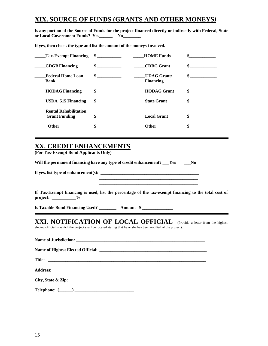## **XIX. SOURCE OF FUNDS (GRANTS AND OTHER MONEYS***)*

**Is any portion of the Source of Funds for the project financed directly or indirectly with Federal, State or Local Government Funds? Yes\_\_\_\_\_\_ No\_\_\_\_\_\_\_\_**

**If yes, then check the type and list the amount of the moneys i nvolved.**

| Tax-Exempt Financing \$                              |               | <b>HOME Funds</b>                     |               |
|------------------------------------------------------|---------------|---------------------------------------|---------------|
| <b>CDGB</b> Financing                                | $\sim$ $\sim$ | <b>CDBG</b> Grant                     | $\frac{1}{2}$ |
| <b>Federal Home Loan</b><br><b>Bank</b>              | $\frac{1}{2}$ | <b>UDAG Grant</b><br><b>Financing</b> | $\sim$        |
| <b>HODAG Financing</b>                               | $\sim$ $\sim$ | <b>HODAG</b> Grant                    | $\sim$        |
| <b>USDA 515 Financing</b>                            | $\sim$        | <b>State Grant</b>                    | $\mathbf{s}$  |
| <b>Rental Rehabilitation</b><br><b>Grant Funding</b> | $\sim$ $\sim$ | <b>Local Grant</b>                    | $\sim$ $\sim$ |
| <b>Other</b>                                         | \$            | <b>Other</b>                          |               |

## **XX. CREDIT ENHANCEMENTS**

**(For Tax-Exempt Bond Applicants Only)**

Will the permanent financing have any type of credit enhancement? Yes No

 **\_\_\_\_\_\_\_\_\_\_\_\_\_\_\_\_\_\_\_\_\_\_\_\_\_\_\_\_\_\_\_\_\_\_\_\_\_\_\_\_\_\_\_\_\_**

**If yes, list type of enhancement(s):** 

**If Tax-Exempt financing is used, list the percentage of the tax-exempt financing to the total cost of project: \_\_\_\_\_\_\_\_\_\_\_%**

**Is Taxable Bond Financing Used? \_\_\_\_\_\_\_\_ Amount \$ \_\_\_\_\_\_\_\_\_\_\_\_\_\_**

## **XXI. NOTIFICATION OF LOCAL OFFICIAL** (Provide a letter from the highest

elected official in which the project shall be located stating that he or she has been notified of the project).

| Address: <u>Address:</u> Address: Address: Address: Address: Address: Address: Address: Address: Address: Address: Address: Address: Address: Address: Address: Address: Address: Address: Address: Address: Address: Address: Addr |
|-------------------------------------------------------------------------------------------------------------------------------------------------------------------------------------------------------------------------------------|
|                                                                                                                                                                                                                                     |
|                                                                                                                                                                                                                                     |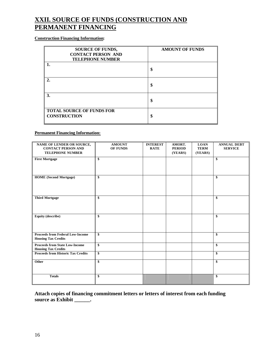## **XXII. SOURCE OF FUNDS (CONSTRUCTION AND PERMANENT FINANCING**

#### **Construction Financing Information:**

| <b>SOURCE OF FUNDS,</b><br><b>CONTACT PERSON AND</b><br><b>TELEPHONE NUMBER</b> | <b>AMOUNT OF FUNDS</b> |
|---------------------------------------------------------------------------------|------------------------|
|                                                                                 | \$                     |
| $\mathfrak{2}$ .                                                                | \$                     |
| 3.                                                                              | \$                     |
| <b>TOTAL SOURCE OF FUNDS FOR</b><br><b>CONSTRUCTION</b>                         | \$                     |

#### **Permanent Financing Information:**

| NAME OF LENDER OR SOURCE,<br><b>CONTACT PERSON AND</b><br><b>TELEPHONE NUMBER</b> | <b>AMOUNT</b><br>OF FUNDS | <b>INTEREST</b><br><b>RATE</b> | AMORT.<br><b>PERIOD</b><br>(YEARS) | <b>LOAN</b><br><b>TERM</b><br>(YEARS) | <b>ANNUAL DEBT</b><br><b>SERVICE</b> |
|-----------------------------------------------------------------------------------|---------------------------|--------------------------------|------------------------------------|---------------------------------------|--------------------------------------|
| <b>First Mortgage</b>                                                             | \$                        |                                |                                    |                                       | \$                                   |
| <b>HOME</b> (Second Mortgage)                                                     | \$                        |                                |                                    |                                       | \$                                   |
| <b>Third Mortgage</b>                                                             | \$                        |                                |                                    |                                       | \$                                   |
| <b>Equity (describe)</b>                                                          | \$                        |                                |                                    |                                       | \$                                   |
| <b>Proceeds from Federal Low-Income</b><br><b>Housing Tax Credits</b>             | \$                        |                                |                                    |                                       | \$                                   |
| <b>Proceeds from State Low-Income</b><br><b>Housing Tax Credits</b>               | \$                        |                                |                                    |                                       | \$                                   |
| <b>Proceeds from Historic Tax Credits</b>                                         | \$                        |                                |                                    |                                       | \$                                   |
| Other                                                                             | \$                        |                                |                                    |                                       | \$                                   |
| <b>Totals</b>                                                                     | \$                        |                                |                                    |                                       | \$                                   |

#### **Attach copies of financing commitment letters or letters of interest from each funding**  source as Exhibit \_\_\_\_\_\_.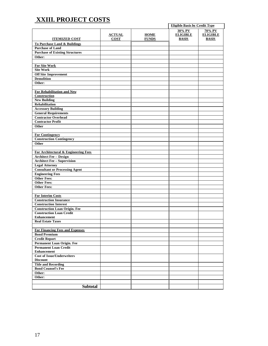## **XXIII. PROJECT COSTS**

|                                                                         |                              |                             | <b>Eligible Basis by Credit Type</b> |                                 |
|-------------------------------------------------------------------------|------------------------------|-----------------------------|--------------------------------------|---------------------------------|
|                                                                         |                              |                             | 30% PV                               | 70% PV                          |
| <b>ITEMIZED COST</b>                                                    | <b>ACTUAL</b><br><b>COST</b> | <b>HOME</b><br><b>FUNDS</b> | <b>ELIGIBLE</b><br><b>BASIS</b>      | <b>ELIGIBLE</b><br><b>BASIS</b> |
| <b>To Purchase Land &amp; Buildings</b>                                 |                              |                             |                                      |                                 |
| <b>Purchase of Land</b>                                                 |                              |                             |                                      |                                 |
| <b>Purchase of Existing Structures</b>                                  |                              |                             |                                      |                                 |
| Other:                                                                  |                              |                             |                                      |                                 |
|                                                                         |                              |                             |                                      |                                 |
| <b>For Site Work</b>                                                    |                              |                             |                                      |                                 |
| <b>Site Work</b>                                                        |                              |                             |                                      |                                 |
| <b>Off Site Improvement</b>                                             |                              |                             |                                      |                                 |
| <b>Demolition</b>                                                       |                              |                             |                                      |                                 |
| Other:                                                                  |                              |                             |                                      |                                 |
|                                                                         |                              |                             |                                      |                                 |
| For Rehabilitation and New                                              |                              |                             |                                      |                                 |
| Construction                                                            |                              |                             |                                      |                                 |
| <b>New Building</b>                                                     |                              |                             |                                      |                                 |
| <b>Rehabilitation</b>                                                   |                              |                             |                                      |                                 |
| <b>Accessory Building</b>                                               |                              |                             |                                      |                                 |
| <b>General Requirements</b>                                             |                              |                             |                                      |                                 |
| <b>Contractor Overhead</b>                                              |                              |                             |                                      |                                 |
| <b>Contractor Profit</b>                                                |                              |                             |                                      |                                 |
| Other                                                                   |                              |                             |                                      |                                 |
|                                                                         |                              |                             |                                      |                                 |
| <b>For Contingency</b>                                                  |                              |                             |                                      |                                 |
| <b>Construction Contingency</b>                                         |                              |                             |                                      |                                 |
| Other                                                                   |                              |                             |                                      |                                 |
|                                                                         |                              |                             |                                      |                                 |
| For Architectural & Engineering Fees                                    |                              |                             |                                      |                                 |
| <b>Architect Fee - Design</b>                                           |                              |                             |                                      |                                 |
| <b>Architect Fee - Supervision</b>                                      |                              |                             |                                      |                                 |
| <b>Legal Attorney</b>                                                   |                              |                             |                                      |                                 |
| <b>Consultant or Processing Agent</b>                                   |                              |                             |                                      |                                 |
| <b>Engineering Fees</b>                                                 |                              |                             |                                      |                                 |
| <b>Other Fees:</b>                                                      |                              |                             |                                      |                                 |
| <b>Other Fees:</b>                                                      |                              |                             |                                      |                                 |
| <b>Other Fees:</b>                                                      |                              |                             |                                      |                                 |
|                                                                         |                              |                             |                                      |                                 |
| <b>For Interim Costs</b>                                                |                              |                             |                                      |                                 |
| <b>Construction Insurance</b>                                           |                              |                             |                                      |                                 |
| <b>Construction Interest</b>                                            |                              |                             |                                      |                                 |
| <b>Construction Loan Origin. Fee</b><br><b>Construction Loan Credit</b> |                              |                             |                                      |                                 |
| <b>Enhancement</b>                                                      |                              |                             |                                      |                                 |
| <b>Real Estate Taxes</b>                                                |                              |                             |                                      |                                 |
|                                                                         |                              |                             |                                      |                                 |
| For Financing Fees and Expenses                                         |                              |                             |                                      |                                 |
| <b>Bond Premium</b>                                                     |                              |                             |                                      |                                 |
| <b>Credit Report</b>                                                    |                              |                             |                                      |                                 |
| Permanent Loan Origin. Fee                                              |                              |                             |                                      |                                 |
| <b>Permanent Loan Credit</b>                                            |                              |                             |                                      |                                 |
| <b>Enhancement</b>                                                      |                              |                             |                                      |                                 |
| <b>Cost of Issue/Underwriters</b>                                       |                              |                             |                                      |                                 |
| <b>Discount</b>                                                         |                              |                             |                                      |                                 |
| <b>Title and Recording</b>                                              |                              |                             |                                      |                                 |
| <b>Bond Counsel's Fee</b>                                               |                              |                             |                                      |                                 |
| Other:                                                                  |                              |                             |                                      |                                 |
| Other:                                                                  |                              |                             |                                      |                                 |
|                                                                         |                              |                             |                                      |                                 |
| <b>Subtotal</b>                                                         |                              |                             |                                      |                                 |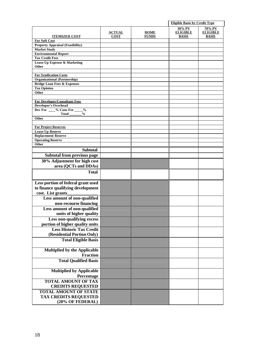|                                                                             |                              |                             | <b>Eligible Basis by Credit Type</b>      |                                           |
|-----------------------------------------------------------------------------|------------------------------|-----------------------------|-------------------------------------------|-------------------------------------------|
| <b>ITEMIZED COST</b>                                                        | <b>ACTUAL</b><br><b>COST</b> | <b>HOME</b><br><b>FUNDS</b> | 30% PV<br><b>ELIGIBLE</b><br><b>BASIS</b> | 70% PV<br><b>ELIGIBLE</b><br><b>BASIS</b> |
| <b>For Soft Cost</b>                                                        |                              |                             |                                           |                                           |
| <b>Property Appraisal (Feasibility)</b>                                     |                              |                             |                                           |                                           |
| <b>Market Study</b>                                                         |                              |                             |                                           |                                           |
| <b>Environmental Report</b>                                                 |                              |                             |                                           |                                           |
| <b>Tax Credit Fees</b>                                                      |                              |                             |                                           |                                           |
| <b>Lease-Up Expense &amp; Marketing</b><br>Other                            |                              |                             |                                           |                                           |
|                                                                             |                              |                             |                                           |                                           |
| <b>For Syndication Costs</b>                                                |                              |                             |                                           |                                           |
| <b>Organizational (Partnership)</b>                                         |                              |                             |                                           |                                           |
| <b>Bridge Loan Fees &amp; Expenses</b>                                      |                              |                             |                                           |                                           |
| <b>Tax Opinion</b><br>Other                                                 |                              |                             |                                           |                                           |
|                                                                             |                              |                             |                                           |                                           |
| <b>For Developer/Consultant Fees</b>                                        |                              |                             |                                           |                                           |
| <b>Developer's Overhead</b>                                                 |                              |                             |                                           |                                           |
| Dev Fee ___% Cons Fee ___<br>$\frac{0}{0}$<br>$\frac{0}{0}$<br><b>Total</b> |                              |                             |                                           |                                           |
| Other                                                                       |                              |                             |                                           |                                           |
|                                                                             |                              |                             |                                           |                                           |
| <b>For Project Reserves</b><br><b>Lease-Up Reserve</b>                      |                              |                             |                                           |                                           |
| <b>Replacement Reserve</b>                                                  |                              |                             |                                           |                                           |
| <b>Operating Reserve</b>                                                    |                              |                             |                                           |                                           |
| Other                                                                       |                              |                             |                                           |                                           |
| <b>Subtotal</b>                                                             |                              |                             |                                           |                                           |
| <b>Subtotal from previous page</b>                                          |                              |                             |                                           |                                           |
| 30% Adjustment for high cost                                                |                              |                             |                                           |                                           |
| area (QCTs and DDAs)                                                        |                              |                             |                                           |                                           |
| <b>Total</b>                                                                |                              |                             |                                           |                                           |
|                                                                             |                              |                             |                                           |                                           |
| Less portion of federal grant used                                          |                              |                             |                                           |                                           |
| to finance qualifying development                                           |                              |                             |                                           |                                           |
| cost. List grants                                                           |                              |                             |                                           |                                           |
| Less amount of non-qualified                                                |                              |                             |                                           |                                           |
| non-recourse financing                                                      |                              |                             |                                           |                                           |
| Less amount of non-qualified                                                |                              |                             |                                           |                                           |
| units of higher quality                                                     |                              |                             |                                           |                                           |
| Less non-qualifying excess                                                  |                              |                             |                                           |                                           |
| portion of higher quality units                                             |                              |                             |                                           |                                           |
| <b>Less Historic Tax Credit</b>                                             |                              |                             |                                           |                                           |
| (Residential Portion Only)                                                  |                              |                             |                                           |                                           |
| <b>Total Eligible Basis</b>                                                 |                              |                             |                                           |                                           |
|                                                                             |                              |                             |                                           |                                           |
| <b>Multiplied by the Applicable</b>                                         |                              |                             |                                           |                                           |
| <b>Fraction</b>                                                             |                              |                             |                                           |                                           |
| <b>Total Qualified Basis</b>                                                |                              |                             |                                           |                                           |
| <b>Multiplied by Applicable</b>                                             |                              |                             |                                           |                                           |
| Percentage                                                                  |                              |                             |                                           |                                           |
| <b>TOTAL AMOUNT OF TAX</b>                                                  |                              |                             |                                           |                                           |
| <b>CREDITS REQUESTED</b>                                                    |                              |                             |                                           |                                           |
| <b>TOTAL AMOUNT OF STATE</b>                                                |                              |                             |                                           |                                           |
| <b>TAX CREDITS REQUESTED</b>                                                |                              |                             |                                           |                                           |
| (20% OF FEDERAL)                                                            |                              |                             |                                           |                                           |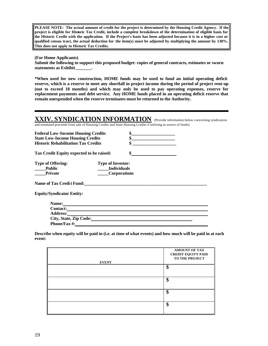**PLEASE NOTE: The actual amount of credit for the project is determined by the Housing Credit Agency. If the project is eligible for Historic Tax Credit, include a complete breakdown of the determination of eligible basis for the Historic Credit with the application. If the Project's basis has been adjusted because it is in a higher cost or qualified census tract, the actual deduction for the item(s) must be adjusted by multiplying the amount by 130%. This does not apply to Historic Tax Credits.**

**(For Home Applicants) Submit the following to support this proposed budget: copies of general contracts, estimates or sworn statements as Exhibit \_\_\_\_\_\_\_.**

**\*When used for new construction, HOME funds may be used to fund an initial operating deficit reserve, which is a reserve to meet any shortfall in project income during the period of project rent-up (not to exceed 18 months) and which may only be used to pay operating expenses, reserve for replacement payments and debt service. Any HOME funds placed in an operating deficit reserve that remain unexpended when the reserve terminates must be returned to the Authority.**

#### **XXIV. SYNDICATION INFORMATION** (Provide information below concerning syndication

and estimated proceeds from sale of Housing Credits and State Housing Credits if utilizing as source of funds)

| Φ<br><b>Federal Low-Income Housing Credits</b><br><b>State Low-Income Housing Credits</b><br><b>Historic Rehabilitation Tax Credits</b> |                          |    |
|-----------------------------------------------------------------------------------------------------------------------------------------|--------------------------|----|
|                                                                                                                                         |                          |    |
|                                                                                                                                         |                          |    |
| Tax Credit Equity expected to be raised:                                                                                                |                          | \$ |
| <b>Type of Offering:</b>                                                                                                                | <b>Type of Investor:</b> |    |
| <b>Public</b>                                                                                                                           | <b>Individuals</b>       |    |
| <b>Private</b>                                                                                                                          | <b>Corporations</b>      |    |
| <b>Name of Tax Credit Fund:</b>                                                                                                         |                          |    |
| <b>Equity/Syndicator Entity:</b>                                                                                                        |                          |    |
| Name:                                                                                                                                   |                          |    |

| <b>Contact:</b>        |  |
|------------------------|--|
| <b>Address:</b>        |  |
| City, State, Zip Code: |  |
| <b>Phone/Fax #:</b>    |  |
|                        |  |

**Describe when equity will be paid in (i.e. at time of what events) and how much will be paid in at each event:** 

| <b>EVENT</b> | <b>AMOUNT OF TAX</b><br><b>CREDIT EQUITY PAID</b><br>TO THE PROJECT |
|--------------|---------------------------------------------------------------------|
|              | \$                                                                  |
|              | \$                                                                  |
|              | \$                                                                  |
|              | \$                                                                  |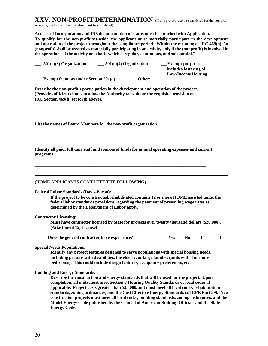## **XXV. NON-PROFIT DETERMINATION** (If this project is to be considered for the non-profit

set-aside, the following information must be completed).

#### **Articles of Incorporation and IRS documentation of status must be attached with Application.**

**To qualify for the non-profit set-aside, the applicant must materially participate in the development and operation of the project throughout the compliance period. Within the meaning of IRC 469(h), "a (nonprofit) shall be treated as materially participating in an activity only if the (nonprofit) is involved in the operations of the activity on a basis which is regular, continuous, and substantial."**

| $501(c)(3)$ Organization               | $501(c)(4)$ Organization | <b>Exempt purposes</b><br>includes fostering of<br><b>Low-Income Housing</b> |
|----------------------------------------|--------------------------|------------------------------------------------------------------------------|
| Exempt from tax under Section $501(a)$ | Other:                   |                                                                              |
|                                        |                          |                                                                              |

**Describe the non-profit's participation in the development and operation of the project. (Provide sufficient details to allow the Authority to evaluate the requisite provision of IRC Section 469(h) set forth above).**

**\_\_\_\_\_\_\_\_\_\_\_\_\_\_\_\_\_\_\_\_\_\_\_\_\_\_\_\_\_\_\_\_\_\_\_\_\_\_\_\_\_\_\_\_\_\_\_\_\_\_\_\_\_\_\_\_\_\_\_\_\_\_\_\_\_\_\_\_\_\_\_\_\_\_\_\_\_\_ \_\_\_\_\_\_\_\_\_\_\_\_\_\_\_\_\_\_\_\_\_\_\_\_\_\_\_\_\_\_\_\_\_\_\_\_\_\_\_\_\_\_\_\_\_\_\_\_\_\_\_\_\_\_\_\_\_\_\_\_\_\_\_\_\_\_\_\_\_\_\_\_\_\_\_\_\_\_ \_\_\_\_\_\_\_\_\_\_\_\_\_\_\_\_\_\_\_\_\_\_\_\_\_\_\_\_\_\_\_\_\_\_\_\_\_\_\_\_\_\_\_\_\_\_\_\_\_\_\_\_\_\_\_\_\_\_\_\_\_\_\_\_\_\_\_\_\_\_\_\_\_\_\_\_\_\_**

**\_\_\_\_\_\_\_\_\_\_\_\_\_\_\_\_\_\_\_\_\_\_\_\_\_\_\_\_\_\_\_\_\_\_\_\_\_\_\_\_\_\_\_\_\_\_\_\_\_\_\_\_\_\_\_\_\_\_\_\_\_\_\_\_\_\_\_\_\_\_\_\_\_\_\_\_\_\_ \_\_\_\_\_\_\_\_\_\_\_\_\_\_\_\_\_\_\_\_\_\_\_\_\_\_\_\_\_\_\_\_\_\_\_\_\_\_\_\_\_\_\_\_\_\_\_\_\_\_\_\_\_\_\_\_\_\_\_\_\_\_\_\_\_\_\_\_\_\_\_\_\_\_\_\_\_\_ \_\_\_\_\_\_\_\_\_\_\_\_\_\_\_\_\_\_\_\_\_\_\_\_\_\_\_\_\_\_\_\_\_\_\_\_\_\_\_\_\_\_\_\_\_\_\_\_\_\_\_\_\_\_\_\_\_\_\_\_\_\_\_\_\_\_\_\_\_\_\_\_\_\_\_\_\_\_**

**List the names of Board Members for the non-profit organization.**

**Identify all paid, full time staff and sources of funds for annual operating expenses and current programs.**

**\_\_\_\_\_\_\_\_\_\_\_\_\_\_\_\_\_\_\_\_\_\_\_\_\_\_\_\_\_\_\_\_\_\_\_\_\_\_\_\_\_\_\_\_\_\_\_\_\_\_\_\_\_\_\_\_\_\_\_\_\_\_\_\_\_\_\_\_\_\_\_\_\_\_\_\_\_\_ \_\_\_\_\_\_\_\_\_\_\_\_\_\_\_\_\_\_\_\_\_\_\_\_\_\_\_\_\_\_\_\_\_\_\_\_\_\_\_\_\_\_\_\_\_\_\_\_\_\_\_\_\_\_\_\_\_\_\_\_\_\_\_\_\_\_\_\_\_\_\_\_\_\_\_\_\_\_ \_\_\_\_\_\_\_\_\_\_\_\_\_\_\_\_\_\_\_\_\_\_\_\_\_\_\_\_\_\_\_\_\_\_\_\_\_\_\_\_\_\_\_\_\_\_\_\_\_\_\_\_\_\_\_\_\_\_\_\_\_\_\_\_\_\_\_\_\_\_\_\_\_\_\_\_\_\_**

#### **(HOME APPLICANTS COMPLETE THE FOLLOWING)**

#### **Federal Labor Standards (Davis-Bacon):**

**If the project to be constructed/rehabilitated contains 12 or more HOME assisted units, the federal labor standards provisions regarding the payment of prevailing wage rates as determined by the Department of Labor apply.**

#### **Contractor Licensing:**

**Must have contractor licensed by State for projects over twenty thousand dollars (\$20,000). (Attachment 12, License)**

**Does the general contractor have experience?** 

| τ.<br>es<br>$\overline{\phantom{a}}$ |  |
|--------------------------------------|--|
|--------------------------------------|--|

#### **Special Needs Populations:**

**Identify any project features designed to serve populations with special housing needs, including persons with disabilities, the elderly, or large families (units with 3 or more bedrooms). This could include design features, occupancy preferences, etc.**

#### **Building and Energy Standards:**

**Describe the construction and energy standards that will be used for the project. Upon completion, all units must meet Section 8 Housing Quality Standards or local codes, if applicable. Project costs greater than \$25,000/unit must meet all local codes, rehabilitation standards, zoning ordinances, and the Cost Effective Energy Standards (24 CFR Part 39). New construction projects must meet all local codes, building standards, zoning ordinances, and the Model Energy Code published by the Council of American Building Officials and the State Energy Code.**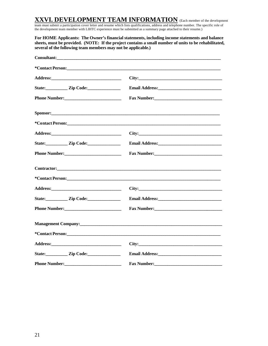## **XXVI. DEVELOPMENT TEAM INFORMATION** (Each member of the development

team must submit a participation cover letter and resume which lists qualifications, address and telephone number. The specific role of the development team member with LIHTC experience must be submitted as a summary page attached to their resume.)

**For HOME Applicants: The Owner's financial statements, including income statements and balance sheets, must be provided. (NOTE: If the project contains a small number of units to be rehabilitated, several of the following team members may not be applicable.)**

|                         | Consultant:                                                                                                                                 |
|-------------------------|---------------------------------------------------------------------------------------------------------------------------------------------|
|                         |                                                                                                                                             |
|                         |                                                                                                                                             |
|                         |                                                                                                                                             |
|                         |                                                                                                                                             |
|                         | <b>Sponsor:</b> Sponsor:                                                                                                                    |
|                         |                                                                                                                                             |
|                         |                                                                                                                                             |
|                         |                                                                                                                                             |
|                         | Fax Number:                                                                                                                                 |
|                         |                                                                                                                                             |
|                         |                                                                                                                                             |
|                         |                                                                                                                                             |
| State: <u>Zip Code:</u> |                                                                                                                                             |
|                         | Fax Number:                                                                                                                                 |
|                         | Management Company:<br><u>Management Company:</u>                                                                                           |
|                         |                                                                                                                                             |
|                         | City:                                                                                                                                       |
| State: <u>Zip Code:</u> |                                                                                                                                             |
|                         | <b>Fax Number:</b><br><u> De Santa Carlos de Santa Carlos de Santa Carlos de Santa Carlos de Santa Carlos de Santa Carlos de Santa Carl</u> |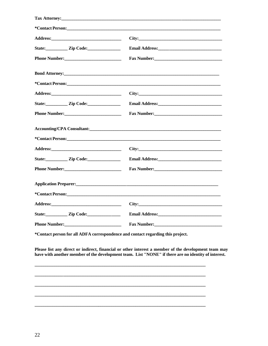| State: <u>Zip Code:</u> |                                                                                                                |
|-------------------------|----------------------------------------------------------------------------------------------------------------|
|                         | Fax Number: 1988 Manual Manual Manual Manual Manual Manual Manual Manual Manual Manual Manual Manual Manual Ma |
|                         |                                                                                                                |
|                         |                                                                                                                |
|                         |                                                                                                                |
|                         |                                                                                                                |
|                         |                                                                                                                |
|                         |                                                                                                                |
|                         |                                                                                                                |
|                         |                                                                                                                |
|                         |                                                                                                                |
|                         |                                                                                                                |
|                         |                                                                                                                |
|                         |                                                                                                                |
|                         | City:                                                                                                          |
|                         |                                                                                                                |
|                         |                                                                                                                |

\*Contact person for all ADFA correspondence and contact regarding this project.

Please list any direct or indirect, financial or other interest a member of the development team may have with another member of the development team. List "NONE" if there are no identity of interest.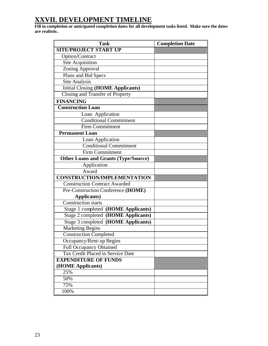## **XXVII. DEVELOPMENT TIMELINE**

**Fill in completion or anticipated completion dates for all development tasks listed. Make sure the dates are realistic.**

| <b>Task</b>                                 | <b>Completion Date</b> |
|---------------------------------------------|------------------------|
| <b>SITE/PROJECT START UP</b>                |                        |
| Option/Contract                             |                        |
| <b>Site Acquisition</b>                     |                        |
| Zoning Approval                             |                        |
| Plans and Bid Specs                         |                        |
| Site Analysis                               |                        |
| <b>Initial Closing (HOME Applicants)</b>    |                        |
| <b>Closing and Transfer of Property</b>     |                        |
| <b>FINANCING</b>                            |                        |
| <b>Construction Loan</b>                    |                        |
| Loan Application                            |                        |
| <b>Conditional Commitment</b>               |                        |
| <b>Firm Commitment</b>                      |                        |
| <b>Permanent Loan</b>                       |                        |
| Loan Application                            |                        |
| <b>Conditional Commitment</b>               |                        |
| <b>Firm Commitment</b>                      |                        |
| <b>Other Loans and Grants (Type/Source)</b> |                        |
| Application                                 |                        |
| Award                                       |                        |
| <b>CONSTRUCTION/IMPLEMENTATION</b>          |                        |
| <b>Construction Contract Awarded</b>        |                        |
| Pre-Construction Conference (HOME)          |                        |
| <b>Applicants</b> )                         |                        |
| <b>Construction starts</b>                  |                        |
| Stage 1 completed (HOME Applicants)         |                        |
| Stage 2 completed (HOME Applicants)         |                        |
| Stage 3 completed (HOME Applicants)         |                        |
| <b>Marketing Begins</b>                     |                        |
| <b>Construction Completed</b>               |                        |
| Occupancy/Rent-up Begins                    |                        |
| <b>Full Occupancy Obtained</b>              |                        |
| Tax Credit Placed in Service Date           |                        |
| <b>EXPENDITURE OF FUNDS</b>                 |                        |
| (HOME Applicants)                           |                        |
| 25%                                         |                        |
| 50%                                         |                        |
| 75%                                         |                        |
| 100%                                        |                        |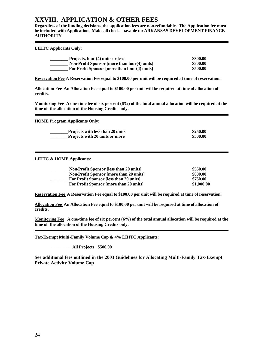## **XXVIII. APPLICATION & OTHER FEES**

**Regardless of the funding decisions, the application fees are non-refundable. The Application fee must be included with Application. Make all checks payable to: ARKANSAS DEVELOPMENT FINANCE AUTHORITY**

**LIHTC Applicants Only:**

| Projects, four (4) units or less                    | \$300.00 |
|-----------------------------------------------------|----------|
| <b>Non-Profit Sponsor [more than four(4) units]</b> | \$300.00 |
| For Profit Sponsor [more than four (4) units]       | \$500.00 |

**Reservation Fee A Reservation Fee equal to \$100.00 per unit will be required at time of reservation.**

**Allocation Fee An Allocation Fee equal to \$100.00 per unit will be required at time of allocation of credits.**

**Monitoring Fee A one-time fee of six percent (6%) of the total annual allocation will be required at the time of the allocation of the Housing Credits only.**

**HOME Program Applicants Only:**

| <b>Projects with less than 20 units</b> | \$250.00 |
|-----------------------------------------|----------|
| <b>Projects with 20 units or more</b>   | \$500.00 |

**LIHTC & HOME Applicants:**

| <b>Non-Profit Sponsor [less than 20 units]</b> | \$550.00   |
|------------------------------------------------|------------|
| <b>Non-Profit Sponsor [more than 20 units]</b> | \$800.00   |
| For Profit Sponsor [less than 20 units]        | \$750.00   |
| For Profit Sponsor [more than 20 units]        | \$1,000.00 |

**Reservation Fee A Reservation Fee equal to \$100.00 per unit will be required at time of reservation.** 

**Allocation Fee An Allocation Fee equal to \$100.00 per unit will be required at time of allocation of credits.**

**Monitoring Fee A one-time fee of six percent (6%) of the total annual allocation will be required at the time of the allocation of the Housing Credits only.**

**Tax-Exempt Multi-Family Volume Cap & 4% LIHTC Applicants:**

**\_\_\_\_\_\_\_\_\_ All Projects \$500.00**

**See additional fees outlined in the 2003 Guidelines for Allocating Multi-Family Tax-Exempt Private Activity Volume Cap**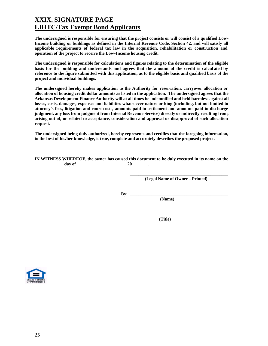## **XXIX. SIGNATURE PAGE LIHTC/Tax Exempt Bond Applicants**

**The undersigned is responsible for ensuring that the project consists or will consist of a qualified Low-Income building or buildings as defined in the Internal Revenue Code, Section 42, and will satisfy all applicable requirements of federal tax law in the acquisition, rehabilitation or construction and operation of the project to receive the Low-Income housing credit.**

**The undersigned is responsible for calculations and figures relating to the determination of the eligible basis for the building and understands and agrees that the amount of the credit is calcul ated by reference to the figure submitted with this application, as to the eligible basis and qualified basis of the project and individual buildings.**

**The undersigned hereby makes application to the Authority for reservation, carryover allocation or allocation of housing credit dollar amounts as listed in the application. The undersigned agrees that the Arkansas Development Finance Authority will at all times be indemnified and held harmless against all losses, costs, damages, expenses and liabilities whatsoever nature or king (including, but not limited to attorney's fees, litigation and court costs, amounts paid in settlement and amounts paid to discharge judgment, any loss from judgment from Internal Revenue Service) directly or indirectly resulting from, arising out of, or related to acceptance, consideration and approval or disapproval of such allocation request.**

**The undersigned being duly authorized, hereby represents and certifies that the foregoing information, to the best of his/her knowledge, is true, complete and accurately describes the proposed project.**

**IN WITNESS WHEREOF, the owner has caused this document to be duly executed in its name on the \_\_\_\_\_\_\_\_\_\_\_\_\_ day of \_\_\_\_\_\_\_\_\_\_\_\_\_\_\_\_\_\_\_\_\_\_, 20 \_\_\_\_\_\_\_.**

> **\_\_\_\_\_\_\_\_\_\_\_\_\_\_\_\_\_\_\_\_\_\_\_\_\_\_\_\_\_\_\_\_\_\_\_\_\_\_\_\_\_\_\_\_\_ (Legal Name of Owner – Printed)**

**\_\_\_\_\_\_\_\_\_\_\_\_\_\_\_\_\_\_\_\_\_\_\_\_\_\_\_\_\_\_\_\_\_\_\_\_\_\_\_\_\_\_\_\_\_\_**

**By: \_\_\_\_\_\_\_\_\_\_\_\_\_\_\_\_\_\_\_\_\_\_\_\_\_\_\_\_\_\_\_\_\_\_\_\_\_\_\_\_\_\_\_\_\_**

 **(Name)**

 **(Title)**

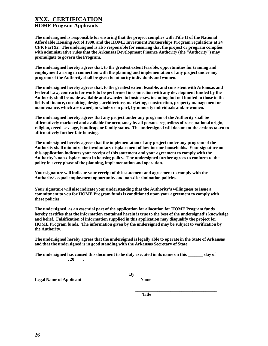#### **XXX. CERTIFICATION HOME Program Applicants**

**The undersigned is responsible for ensuring that the project complies with Title II of the National Affordable Housing Act of 1990, and the HOME Investment Partnerships Program regulations at 24 CFR Part 92. The undersigned is also responsible for ensuring that the project or program complies with administrative rules that the Arkansas Development Finance Authority (the "Authority") may promulgate to govern the Program.**

**The undersigned hereby agrees that, to the greatest extent feasible, opportunities for training and employment arising in connection with the planning and implementation of any project under any program of the Authority shall be given to minority individuals and women.**

**The undersigned hereby agrees that, to the greatest extent feasible, and consistent with Arkansas and Federal Law, contracts for work to be performed in connection with any development funded by the Authority shall be made available and awarded to businesses, including but not limited to those in the fields of finance, consulting, design, architecture, marketing, construction, property management or maintenance, which are owned, in whole or in part, by minority individuals and/or women.**

**The undersigned hereby agrees that any project under any program of the Authority shall be affirmatively marketed and available for occupancy by all persons regardless of race, national origin, religion, creed, sex, age, handicap, or family status. The undersigned will document the actions taken to affirmatively further fair housing.**

**The undersigned hereby agrees that the implementation of any project under any program of the Authority shall minimize the involuntary displacement of low-income households. Your signature on this application indicates your receipt of this statement and your agreement to comply with the Authority's non-displacement in housing policy. The undersigned further agrees to conform to the policy in every phase of the planning, implementation and operation.**

**Your signature will indicate your receipt of this statement and agreement to comply with the Authority's equal employment opportunity and non-discrimination policies.**

**Your signature will also indicate your understanding that the Authority's willingness to issue a commitment to you for HOME Program funds is conditioned upon your agreement to comply with these policies.**

**The undersigned, as an essential part of the application for allocation for HOME Program funds hereby certifies that the information contained herein is true to the best of the undersigned's knowledge and belief. Falsification of information supplied in this application may disqualify the project for HOME Program funds. The information given by the undersigned may be subject to verification by the Authority.**

**The undersigned hereby agrees that the undersigned is legally able to operate in the State of Arkansas and that the undersigned is in good standing with the Arkansas Secretary of State.**

**The undersigned has caused this document to be duly executed in its name on this \_\_\_\_\_\_\_ day of**   $\overline{\phantom{a}}$ , 20

**Legal Name of Applicant Name** 

**\_\_\_\_\_\_\_\_\_\_\_\_\_\_\_\_\_\_\_\_\_\_\_\_\_\_\_\_\_\_\_\_\_ By:\_\_\_\_\_\_\_\_\_\_\_\_\_\_\_\_\_\_\_\_\_\_\_\_\_\_\_\_\_\_\_\_\_\_\_\_\_**

 **Title**

 **\_\_\_\_\_\_\_\_\_\_\_\_\_\_\_\_\_\_\_\_\_\_\_\_\_\_\_\_\_\_\_\_\_\_\_\_\_**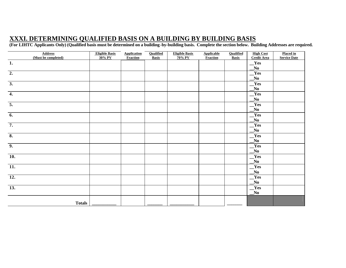## **XXXI. DETERMINING QUALIFIED BASIS ON A BUILDING BY BUILDING BASIS**

**(For LIHTC Applicants Only) (Qualified basis must be determined on a building-by-building basis. Complete the section below. Building Addresses are required.**

| <b>Address</b><br>(Must be completed) | <b>Eligible Basis</b><br>30% PV | <b>Application</b><br><b>Fraction</b> | Qualified<br><b>Basis</b> | <b>Eligible Basis</b><br>70% PV | <b>Applicable</b><br><b>Fraction</b> | <b>Qualified</b><br><b>Basis</b> | <b>High Cost</b><br><b>Credit Area</b>    | <b>Placed in</b><br><b>Service Date</b> |
|---------------------------------------|---------------------------------|---------------------------------------|---------------------------|---------------------------------|--------------------------------------|----------------------------------|-------------------------------------------|-----------------------------------------|
| $\mathbf{1}$ .                        |                                 |                                       |                           |                                 |                                      |                                  | Yes                                       |                                         |
| $\overline{2}$ .                      |                                 |                                       |                           |                                 |                                      |                                  | $\mathbf{N}\mathbf{0}$<br>Yes             |                                         |
|                                       |                                 |                                       |                           |                                 |                                      |                                  | $\mathbf{N}\mathbf{0}$                    |                                         |
| $\overline{3}$ .                      |                                 |                                       |                           |                                 |                                      |                                  | Yes<br>$\mathbf{N}\mathbf{0}$             |                                         |
| $\overline{4}$ .                      |                                 |                                       |                           |                                 |                                      |                                  | $Y$ es                                    |                                         |
|                                       |                                 |                                       |                           |                                 |                                      |                                  | $\mathbf{N}\mathbf{0}$                    |                                         |
| $\overline{5}$ .                      |                                 |                                       |                           |                                 |                                      |                                  | Yes                                       |                                         |
|                                       |                                 |                                       |                           |                                 |                                      |                                  | $N_0$                                     |                                         |
| $\overline{6}$ .                      |                                 |                                       |                           |                                 |                                      |                                  | $\mathbf{Yes}$<br>$\overline{\mathbf{N}}$ |                                         |
| $\overline{7}$ .                      |                                 |                                       |                           |                                 |                                      |                                  | $\mathbf{Yes}$                            |                                         |
|                                       |                                 |                                       |                           |                                 |                                      |                                  | $\mathbf{N}\mathbf{0}$                    |                                         |
| $\overline{\mathbf{8}}$ .             |                                 |                                       |                           |                                 |                                      |                                  | $\mathbf{Yes}$                            |                                         |
|                                       |                                 |                                       |                           |                                 |                                      |                                  | $\mathbf{N}\mathbf{0}$                    |                                         |
| $\overline{9}$ .                      |                                 |                                       |                           |                                 |                                      |                                  | Yes<br>$\overline{\bf No}$                |                                         |
| $\overline{10}$ .                     |                                 |                                       |                           |                                 |                                      |                                  | $\mathbf{Yes}$                            |                                         |
|                                       |                                 |                                       |                           |                                 |                                      |                                  | $\mathbf{N}\mathbf{0}$                    |                                         |
| $\overline{11}$ .                     |                                 |                                       |                           |                                 |                                      |                                  | Yes                                       |                                         |
|                                       |                                 |                                       |                           |                                 |                                      |                                  | $\overline{\mathbf{N}}$                   |                                         |
| $\overline{12}$ .                     |                                 |                                       |                           |                                 |                                      |                                  | $\mathbf{Yes}$<br>N <sub>0</sub>          |                                         |
| $\overline{13}$ .                     |                                 |                                       |                           |                                 |                                      |                                  | Yes                                       |                                         |
|                                       |                                 |                                       |                           |                                 |                                      |                                  | $\mathbf{N}\mathbf{0}$                    |                                         |
| <b>Totals</b>                         |                                 |                                       |                           |                                 |                                      |                                  |                                           |                                         |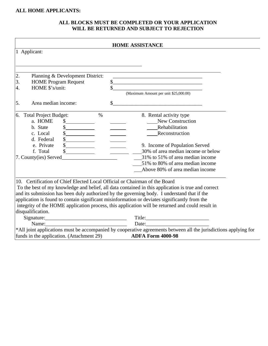## **ALL HOME APPLICANTS:**

#### **ALL BLOCKS MUST BE COMPLETED OR YOUR APPLICATION WILL BE RETURNED AND SUBJECT TO REJECTION**

|                                                                            | <b>HOME ASSISTANCE</b>                                                                                                            |
|----------------------------------------------------------------------------|-----------------------------------------------------------------------------------------------------------------------------------|
| 1 Applicant:                                                               |                                                                                                                                   |
|                                                                            |                                                                                                                                   |
| 2.<br>Planning & Development District:                                     |                                                                                                                                   |
| 3.<br><b>HOME Program Request</b>                                          | and the control of the control of the control of the control of the control of the control of the control of the<br>$\frac{1}{2}$ |
| HOME \$'s/unit:<br>4.                                                      | $\mathcal{S}$                                                                                                                     |
|                                                                            | (Maximum Amount per unit \$25,000.00)                                                                                             |
| 5.<br>Area median income:                                                  | $\mathsf{\$}$                                                                                                                     |
| <b>Total Project Budget:</b><br>6.<br>$\%$                                 | 8. Rental activity type                                                                                                           |
| a. HOME                                                                    | New Construction                                                                                                                  |
| b. State                                                                   | Rehabilitation                                                                                                                    |
| $\frac{1}{2}$<br>c. Local                                                  | Reconstruction                                                                                                                    |
| $\frac{\text{S}}{\text{S}}$<br>d. Federal                                  |                                                                                                                                   |
| $\frac{\sqrt{2}}{2}$<br>e. Private                                         | 9. Income of Population Served                                                                                                    |
| f. Total<br>$\frac{1}{2}$                                                  | 30% of area median income or below                                                                                                |
| 7. County(ies) Served                                                      | _31% to 51% of area median income                                                                                                 |
|                                                                            | 51% to 80% of area median income                                                                                                  |
|                                                                            | Above 80% of area median income                                                                                                   |
| 10. Certification of Chief Elected Local Official or Chairman of the Board |                                                                                                                                   |
|                                                                            | To the best of my knowledge and belief, all data contained in this application is true and correct                                |
|                                                                            | and its submission has been duly authorized by the governing body. I understand that if the                                       |
|                                                                            | application is found to contain significant misinformation or deviates significantly from the                                     |
|                                                                            | integrity of the HOME application process, this application will be returned and could result in                                  |
| disqualification.                                                          |                                                                                                                                   |
|                                                                            |                                                                                                                                   |
|                                                                            |                                                                                                                                   |
|                                                                            | *All joint applications must be accompanied by cooperative agreements between all the jurisdictions applying for                  |
| funds in the application. (Attachment 29) <b>ADFA Form 4000-98</b>         |                                                                                                                                   |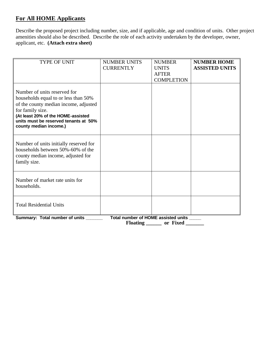## **For All HOME Applicants**

Describe the proposed project including number, size, and if applicable, age and condition of units. Other project amenities should also be described. Describe the role of each activity undertaken by the developer, owner, applicant, etc. **(Attach extra sheet)**

| <b>TYPE OF UNIT</b>                                                                                                                                                                                                                        | <b>NUMBER UNITS</b><br><b>CURRENTLY</b> | <b>NUMBER</b><br><b>UNITS</b><br><b>AFTER</b><br><b>COMPLETION</b> | <b>NUMBER HOME</b><br><b>ASSISTED UNITS</b> |  |  |  |
|--------------------------------------------------------------------------------------------------------------------------------------------------------------------------------------------------------------------------------------------|-----------------------------------------|--------------------------------------------------------------------|---------------------------------------------|--|--|--|
| Number of units reserved for<br>households equal to or less than 50%<br>of the county median income, adjusted<br>for family size.<br>(At least 20% of the HOME-assisted<br>units must be reserved tenants at 50%<br>county median income.) |                                         |                                                                    |                                             |  |  |  |
| Number of units initially reserved for<br>households between 50%-60% of the<br>county median income, adjusted for<br>family size.                                                                                                          |                                         |                                                                    |                                             |  |  |  |
| Number of market rate units for<br>households.                                                                                                                                                                                             |                                         |                                                                    |                                             |  |  |  |
| <b>Total Residential Units</b>                                                                                                                                                                                                             |                                         |                                                                    |                                             |  |  |  |
| Total number of HOME assisted units<br>Summary: Total number of units<br><b>Floating</b><br>or Fixed                                                                                                                                       |                                         |                                                                    |                                             |  |  |  |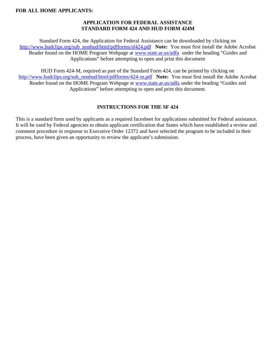#### **APPLICATION FOR FEDERAL ASSISTANCE STANDARD FORM 424 AND HUD FORM 424M**

Standard Form 424, the Application for Federal Assistance can be downloaded by clicking on http://www.hudclips.org/sub\_nonhud/html/pdfforms/sf424.pdf **Note:** You must first install the Adobe Acrobat Reader found on the HOME Program Webpage at www.state.ar.us/adfa under the heading "Guides and Applications" before attempting to open and print this document

HUD Form 424-M, required as part of the Standard Form 424, can be printed by clicking on http://www.hudclips.org/sub\_nonhud/html/pdfforms/424-m.pdf **Note:** You must first install the Adobe Acrobat Reader found on the HOME Program Webpage at www.state.ar.us/adfa under the heading "Guides and Applications" before attempting to open and print this document.

#### **INSTRUCTIONS FOR THE SF 424**

This is a standard form used by applicants as a required facesheet for applications submitted for Federal assistance. It will be used by Federal agencies to obtain applicant certification that States which have established a review and comment procedure in response to Executive Order 12372 and have selected the program to be included in their process, have been given an opportunity to review the applicant's submission.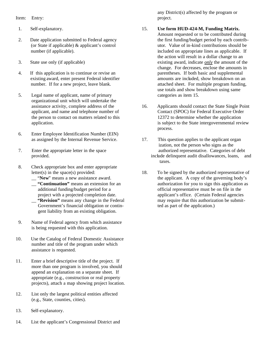Item: Entry:

- 1. Self-explanatory.
- 2. Date application submitted to Federal agency (or State if applicable) & applicant's control number (if applicable).
- 3. State use only (if applicable)
- 4. If this application is to continue or revise an existing award, enter present Federal identifier number. If for a new project, leave blank.
- 5. Legal name of applicant, name of primary organizational unit which will undertake the assistance activity, complete address of the applicant, and name and telephone number of the person to contact on matters related to this application.
- 6. Enter Employee Identification Number (EIN) as assigned by the Internal Revenue Service.
- 7. Enter the appropriate letter in the space provided.
- 8. Check appropriate box and enter appropriate letter(s) in the space(s) provided:
	- \_\_ "**New**" means a new assistance award.
	- \_\_ **"Continuation"** means an extension for an additional funding/budget period for a project with a projected completion date. \_\_ **"Revision"** means any change in the Federal Government's financial obligation or contin gent liability from an existing obligation.
- 9. Name of Federal agency from which assistance is being requested with this application.
- 10. Use the Catalog of Federal Domestic Assistance number and title of the program under which assistance is requested.
- 11. Enter a brief descriptive title of the project. If more than one program is involved, you should append an explanation on a separate sheet. If appropriate (e.g., construction or real property projects), attach a map showing project location.
- 12. List only the largest political entities affected (e.g., State, counties, cities).
- 13. Self-explanatory.
- 14. List the applicant's Congressional District and

any District(s) affected by the program or project.

## 15. **Use form HUD-424-M, Funding Matrix.**

- Amount requested or to be contributed during the first funding/budget period by each contributor. Value of in-kind contributions should be included on appropriate lines as applicable. If the action will result in a dollar change to an existing award, indicate *only* the amount of the change. For decreases, enclose the amounts in parentheses. If both basic and supplemental amounts are included, show breakdown on an attached sheet. For multiple program funding, use totals and show breakdown using same categories as item 15.
- 16. Applicants should contact the State Single Point Contact (SPOC) for Federal Executive Order 12372 to determine whether the application is subject to the State intergovernmental review process.
- 17. This question applies to the applicant organ ization, not the person who signs as the authorized representative. Categories of debt include delinquent audit disallowances, loans, and taxes.
- 18. To be signed by the authorized representative of the applicant. A copy of the governing body's authorization for you to sign this application as official representative must be on file in the applicant's office. (Certain Federal agencies may require that this authorization be submitted as part of the application.)